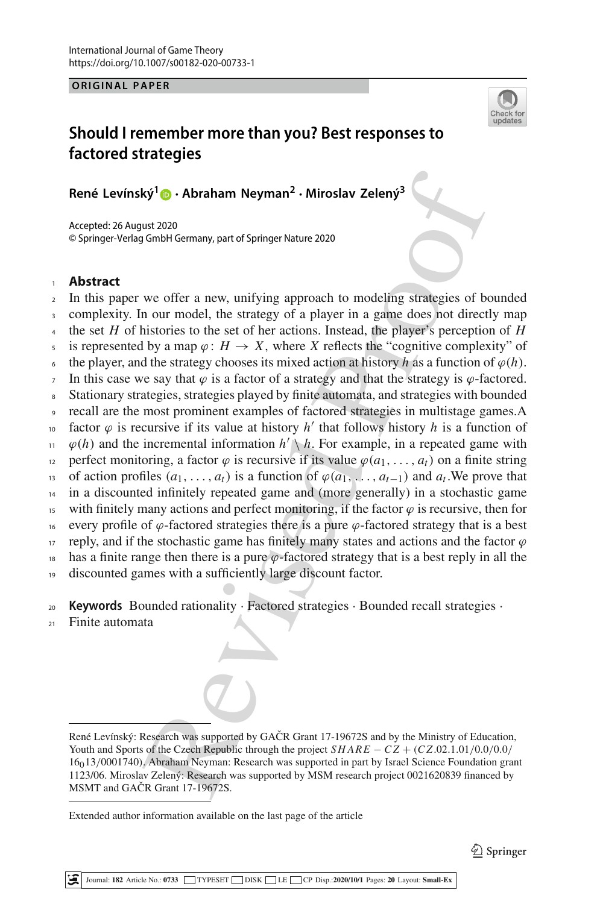**ORIGINAL PAPER**



# **Should I remember more than you? Best responses to factored strategies**

**René Levínský[1](http://orcid.org/0000-0001-9272-5751) · Abraham Neyman2 · Miroslav Zelený3**

Accepted: 26 August 2020 © Springer-Verlag GmbH Germany, part of Springer Nature 2020

# <sup>1</sup> **Abstract**

<sup>2</sup> In this paper we offer a new, unifying approach to modeling strategies of bounded <sup>3</sup> complexity. In our model, the strategy of a player in a game does not directly map

- the set  $H$  of histories to the set of her actions. Instead, the player's perception of  $H$ 5 is represented by a map  $\varphi$ :  $H \to X$ , where *X* reflects the "cognitive complexity" of
- the player, and the strategy chooses its mixed action at history *h* as a function of  $\varphi(h)$ .
- 7 In this case we say that  $\varphi$  is a factor of a strategy and that the strategy is  $\varphi$ -factored.
- <sup>8</sup> Stationary strategies, strategies played by finite automata, and strategies with bounded
- <sup>9</sup> recall are the most prominent examples of factored strategies in multistage games.A
- factor  $\varphi$  is recursive if its value at history *h'* that follows history *h* is a function of
- $\varphi(h)$  and the incremental information  $h' \setminus h$ . For example, in a repeated game with
- perfect monitoring, a factor  $\varphi$  is recursive if its value  $\varphi(a_1, \ldots, a_t)$  on a finite string
- of action profiles  $(a_1, \ldots, a_t)$  is a function of  $\varphi(a_1, \ldots, a_{t-1})$  and  $a_t$ . We prove that
- <sup>14</sup> in a discounted infinitely repeated game and (more generally) in a stochastic game
- 15 with finitely many actions and perfect monitoring, if the factor  $\varphi$  is recursive, then for
- <sup>16</sup> every profile of  $\varphi$ -factored strategies there is a pure  $\varphi$ -factored strategy that is a best
- 17 reply, and if the stochastic game has finitely many states and actions and the factor  $\varphi$
- $18$  has a finite range then there is a pure  $\varphi$ -factored strategy that is a best reply in all the
- <sup>19</sup> discounted games with a sufficiently large discount factor.

<sup>20</sup> **Keywords** Bounded rationality · Factored strategies · Bounded recall strategies ·

<sup>21</sup> Finite automata

**ky' © - Abraham Neyman<sup>2</sup> - Miroslav Zeleny<sup>3</sup><br>
Wy' © - Abraham Neyman<sup>2</sup> - Miroslav Zeleny<sup>3</sup><br>
ust 2020<br>
ust 2020<br>
we offer a new, unifying approach to modeling strategies of be<br>
n our model, the strategy of a player in** René Levínský: Research was supported by GAČR Grant 17-19672S and by the Ministry of Education, Youth and Sports of the Czech Republic through the project *SHARE* − *C Z* + (*C Z*.02.1.01/0.0/0.0/ 16013/0001740). Abraham Neyman: Research was supported in part by Israel Science Foundation grant 1123/06. Miroslav Zelený: Research was supported by MSM research project 0021620839 financed by MSMT and GAČR Grant 17-19672S.

Extended author information available on the last page of the article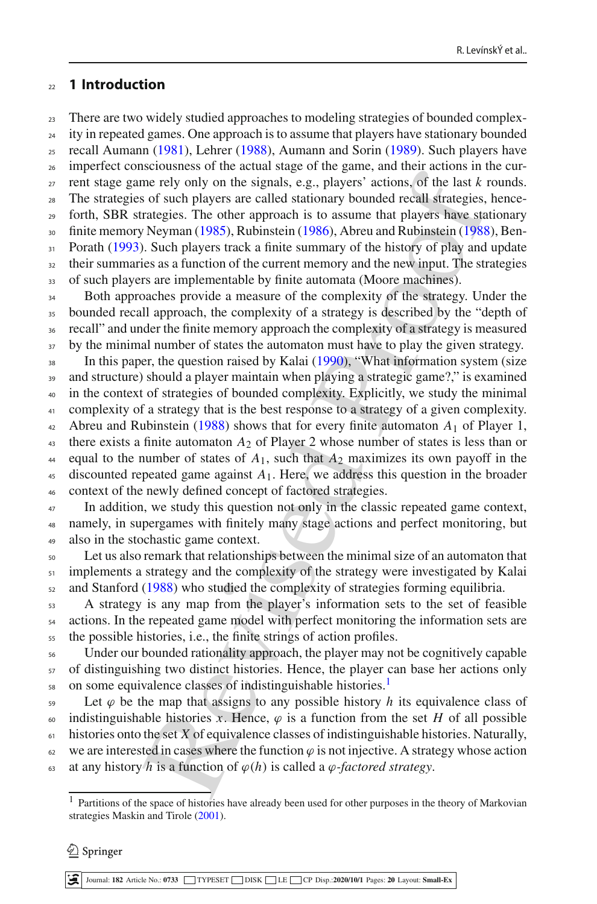# <sup>22</sup> **1 Introduction**

<sup>23</sup> There are two widely studied approaches to modeling strategies of bounded complex-<sup>24</sup> ity in repeated games. One approach is to assume that players have stationary bounded  $25$  recall Auma[n](#page-18-2)n [\(1981\)](#page-18-0), Leh[r](#page-18-1)er [\(1988\)](#page-18-1), Aumann and Sorin [\(1989\)](#page-18-2). Such players have

<sub>26</sub> imperfect consciousness of the actual stage of the game, and their actions in the cur- $27$  rent stage game rely only on the signals, e.g., players' actions, of the last  $k$  rounds. <sup>28</sup> The strategies of such players are called stationary bounded recall strategies, hence-<sup>29</sup> forth, SBR strategies. The other approach is to assume that players have stationary <sup>30</sup> finite memory Neyma[n](#page-18-3) [\(1985\)](#page-18-3), Rubinstei[n](#page-18-4) [\(1986](#page-18-4)), Abreu and Rubinstein (1988), Ben<sup>31</sup> Porat[h](#page-18-6) [\(1993\)](#page-18-6). Such players track a finite summary of the history of play and update <sup>32</sup> their summaries as a function of the current memory and the new input. The strategies

33 of such players are implementable by finite automata (Moore machines).

<sup>34</sup> Both approaches provide a measure of the complexity of the strategy. Under the <sup>35</sup> bounded recall approach, the complexity of a strategy is described by the "depth of <sup>36</sup> recall" and under the finite memory approach the complexity of a strategy is measured <sup>37</sup> by the minimal number of states the automaton must have to play the given strategy.

Every the way [of](#page-18-5) the signals, e.g., players' actions, of the last *k* is of such a mean and the mean and the signals, e.g., players' actions, of the last *k* is of such players' actions, of the last *k* is of such players <sup>38</sup> In th[i](#page-18-7)s paper, the question raised by Kalai (1990), "What information system (size <sup>39</sup> and structure) should a player maintain when playing a strategic game?," is examined <sup>40</sup> in the context of strategies of bounded complexity. Explicitly, we study the minimal <sup>41</sup> complexity of a strategy that is the best response to a strategy of a given complexity. <sup>42</sup> Abreu and Rubinstei[n](#page-18-5) [\(1988\)](#page-18-5) shows that for every finite automaton *A*<sup>1</sup> of Player 1, <sup>43</sup> there exists a finite automaton  $A_2$  of Player 2 whose number of states is less than or  $44$  equal to the number of states of  $A_1$ , such that  $A_2$  maximizes its own payoff in the  $45$  discounted repeated game against  $A_1$ . Here, we address this question in the broader <sup>46</sup> context of the newly defined concept of factored strategies.

<sup>47</sup> In addition, we study this question not only in the classic repeated game context, <sup>48</sup> namely, in supergames with finitely many stage actions and perfect monitoring, but <sup>49</sup> also in the stochastic game context.

<sup>50</sup> Let us also remark that relationships between the minimal size of an automaton that 51 implements a strategy and the complexity of the strategy were investigated by Kalai <sup>52</sup> and Stanfor[d](#page-18-8) (1988) who studied the complexity of strategies forming equilibria.

<sup>53</sup> A strategy is any map from the player's information sets to the set of feasible <sup>54</sup> actions. In the repeated game model with perfect monitoring the information sets are <sup>55</sup> the possible histories, i.e., the finite strings of action profiles.

<sup>56</sup> Under our bounded rationality approach, the player may not be cognitively capable <sub>57</sub> of distinguishing two distinct histories. Hence, the player can base her actions only s on some equivalence classes of indistinguishable histories.<sup>[1](#page-1-0)</sup>

 $59$  Let  $\varphi$  be the map that assigns to any possible history *h* its equivalence class of 60 indistinguishable histories *x*. Hence,  $\varphi$  is a function from the set *H* of all possible <sup>61</sup> histories onto the set *X* of equivalence classes of indistinguishable histories. Naturally,  $62$  we are interested in cases where the function  $\varphi$  is not injective. A strategy whose action 63 at any history *h* is a function of  $\varphi(h)$  is called a  $\varphi$ -factored strategy.

#### $\mathcal{L}$  Springer

<span id="page-1-0"></span><sup>&</sup>lt;sup>1</sup> Partitions of the space of histories have already been used for other purposes in the theory of Markovian strat[e](#page-18-9)gies Maskin and Tirole [\(2001\)](#page-18-9).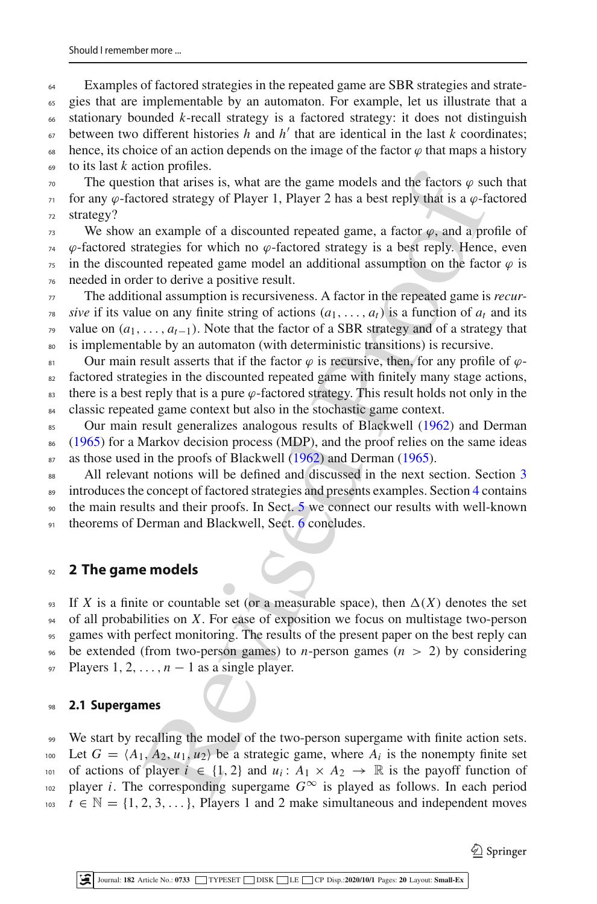Examples of factored strategies in the repeated game are SBR strategies and strate- gies that are implementable by an automaton. For example, let us illustrate that a stationary bounded *k*-recall strategy is a factored strategy: it does not distinguish  $\epsilon_0$  between two different histories *h* and *h'* that are identical in the last *k* coordinates; 68 hence, its choice of an action depends on the image of the factor  $\varphi$  that maps a history to its last *k* action profiles.

 $\pi$ <sup>0</sup> The question that arises is, what are the game models and the factors  $\varphi$  such that  $\pi$  for any  $\varphi$ -factored strategy of Player 1, Player 2 has a best reply that is a  $\varphi$ -factored <sup>72</sup> strategy?

 We show an example of a discounted repeated game, a factor  $\varphi$ , and a profile of  $\varphi$ -factored strategies for which no  $\varphi$ -factored strategy is a best reply. Hence, even in the discounted repeated game model an additional assumption on the factor  $\varphi$  is needed in order to derive a positive result.

 The additional assumption is recursiveness. A factor in the repeated game is *recur-* $\gamma_8$  *sive* if its value on any finite string of actions  $(a_1, \ldots, a_t)$  is a function of  $a_t$  and its value on (*a*1,..., *at*<sup>−</sup>1). Note that the factor of a SBR strategy and of a strategy that is implementable by an automaton (with deterministic transitions) is recursive.

81 Our main result asserts that if the factor  $\varphi$  is recursive, then, for any profile of  $\varphi$ -<sup>82</sup> factored strategies in the discounted repeated game with finitely many stage actions, 83 there is a best reply that is a pure  $\varphi$ -factored strategy. This result holds not only in the <sup>84</sup> classic repeated game context but also in the stochastic game context.

<sup>85</sup> Our main result generalizes analogous results of Blackwell (1962) and Derma[n](#page-18-11) <sup>86</sup> [\(1965\)](#page-18-11) for a Markov decision process (MDP), and the proof relies on the same ideas 87 as those used i[n](#page-18-11) the proofs of Blackwell (1962) and Derman [\(1965](#page-18-11)).

88 All relevant notions will be defined and discussed in the next section. Section [3](#page-5-0) <sup>89</sup> introduces the concept of factored strategies and presents examples. Section [4](#page-7-0) contains <sup>90</sup> the main results and their proofs. In Sect. 5 we connect our results with well-known 91 theorems of Derman and Blackwell, Sect. 6 concludes.

# <sup>92</sup> **2 The game models**

som[e](#page-14-0)thing the same the same mo[d](#page-18-10)els and the factors  $\varphi$  sum that arises is, what are the game models and the factors  $\varphi$  sum that arises is for which no  $\varphi$ -factored strategy of Player 1, Player 2 has a best reply th 93 If *X* is a finite or countable set (or a measurable space), then  $\Delta(X)$  denotes the set <sup>94</sup> of all probabilities on *X*. For ease of exposition we focus on multistage two-person <sup>95</sup> games with perfect monitoring. The results of the present paper on the best reply can  $\frac{1}{96}$  be extended (from two-person games) to *n*-person games ( $n > 2$ ) by considering 97 Players  $1, 2, \ldots, n-1$  as a single player.

# <sup>98</sup> **2.1 Supergames**

<sup>99</sup> We start by recalling the model of the two-person supergame with finite action sets. Let  $G = \langle A_1, A_2, u_1, u_2 \rangle$  be a strategic game, where  $A_i$  is the nonempty finite set of actions of player  $i \in \{1, 2\}$  and  $u_i : A_1 \times A_2 \rightarrow \mathbb{R}$  is the payoff function of 102 player *i*. The corresponding supergame  $G^{\infty}$  is played as follows. In each period  $t \in \mathbb{N} = \{1, 2, 3, \ldots\}$ , Players 1 and 2 make simultaneous and independent moves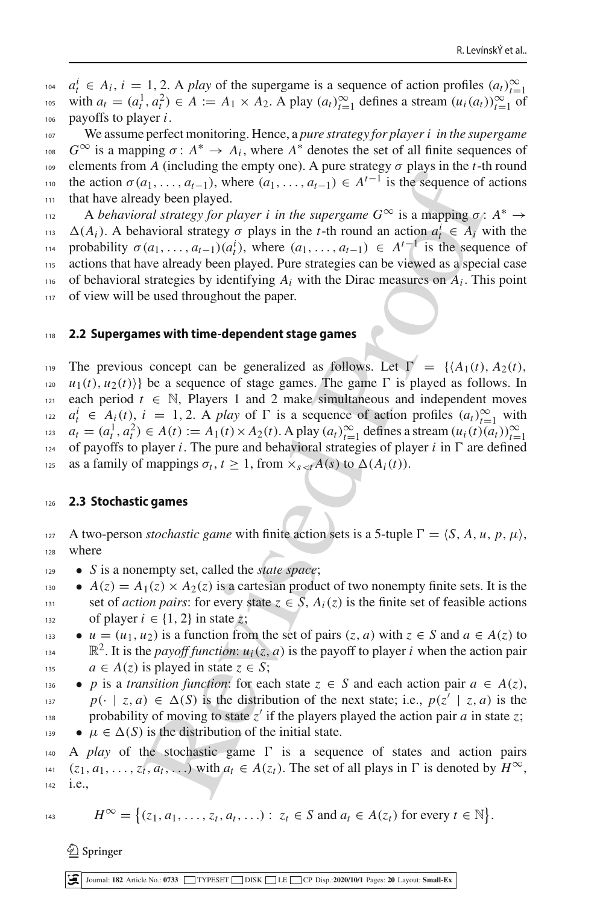$a_t^i \in A_i$ ,  $i = 1, 2$ . A play of the supergame is a sequence of action profiles  $(a_t)_{t=1}^{\infty}$  with  $a_t = (a_t^1, a_t^2) \in A := A_1 \times A_2$ . A play  $(a_t)_{t=1}^{\infty}$  defines a stream  $(u_i(a_t))_{t=1}^{\infty}$  of <sup>106</sup> payoffs to player *i*.

<sup>107</sup> We assume perfect monitoring. Hence, a *pure strategy for player i in the supergame*  $G^∞$  is a mapping  $σ$ :  $A^∗ → A_i$ , where  $A^∗$  denotes the set of all finite sequences of 109 elements from *A* (including the empty one). A pure strategy  $\sigma$  plays in the *t*-th round the action  $\sigma(a_1,\ldots,a_{t-1})$ , where  $(a_1,\ldots,a_{t-1}) \in A^{t-1}$  is the sequence of actions 111 that have already been played.

A *behavioral strategy for player i in the supergame*  $G^{\infty}$  *is a mapping*  $\sigma: A^* \to$  $(1)$ <sub>113</sub>  $\Delta(A_i)$ . A behavioral strategy  $\sigma$  plays in the *t*-th round an action  $a_i^i \in A_i$  with the probability  $\sigma(a_1, \ldots, a_{t-1})(a_t^i)$ , where  $(a_1, \ldots, a_{t-1}) \in A^{t-1}$  is the sequence of <sup>115</sup> actions that have already been played. Pure strategies can be viewed as a special case  $_{116}$  of behavioral strategies by identifying  $A_i$  with the Dirac measures on  $A_i$ . This point 117 of view will be used throughout the paper.

### <sup>118</sup> **2.2 Supergames with time-dependent stage games**

**Example 12** and  $\chi$  and  $\chi$  and  $\chi$  and  $\chi$  and  $\chi$  and  $\chi$  and  $\chi$  and  $\chi$  and  $\chi$  and  $\chi$  and  $\chi$  and  $\chi$  and  $\chi$  and  $\chi$  and  $\chi$  and  $\chi$  and  $\chi$  and  $\chi$  and  $\chi$  and  $\chi$  and  $\chi$  and  $\chi$  are  $\chi$  a 119 The previous concept can be generalized as follows. Let  $\Gamma = \{A_1(t), A_2(t),$  $u_1(t), u_2(t)$ } be a sequence of stage games. The game  $\Gamma$  is played as follows. In  $121$  each period  $t \in \mathbb{N}$ , Players 1 and 2 make simultaneous and independent moves  $a_i^i \in A_i(t), i = 1, 2$ . A *play* of  $\Gamma$  is a sequence of action profiles  $(a_i)_{i=1}^{\infty}$  with *t*<sub>123</sub>  $a_t = (a_t^1, a_t^2) \in A(t) := A_1(t) \times A_2(t)$ . A play  $(a_t)_{t=1}^{\infty}$  defines a stream  $(u_i(t)(a_t))_{t=1}^{\infty}$ 124 of payoffs to player *i*. The pure and behavioral strategies of player *i* in  $\Gamma$  are defined as a family of mappings  $\sigma_t$ ,  $t \geq 1$ , from  $\times_{s \leq t} A(s)$  to  $\Delta(A_i(t))$ .

### <sup>126</sup> **2.3 Stochastic games**

127 A two-person *stochastic game* with finite action sets is a 5-tuple  $\Gamma = \langle S, A, u, p, \mu \rangle$ , <sup>128</sup> where

- <sup>129</sup> *S* is a nonempty set, called the *state space*;
- $A(z) = A_1(z) \times A_2(z)$  is a cartesian product of two nonempty finite sets. It is the 131 set of *action pairs*: for every state  $z \in \overline{S}$ ,  $A_i(z)$  is the finite set of feasible actions of player  $i \in \{1, 2\}$  in state  $\zeta$ ;
- $u = (u_1, u_2)$  is a function from the set of pairs  $(z, a)$  with  $z \in S$  and  $a \in A(z)$  to  $\mathbb{R}^2$ . It is the *payoff function*:  $u_i(z, a)$  is the payoff to player *i* when the action pair
- 135  $a \in A(z)$  is played in state  $z \in S$ ;
- *p* is a *transition function*: for each state  $z \in S$  and each action pair  $a \in A(z)$ , *p*(· | *z*, *a*)  $\in \Delta(S)$  is the distribution of the next state; i.e.,  $p(z' | z, a)$  is the probability of moving to state  $z'$  if the players played the action pair *a* in state *z*;
- 139  $\mu \in \Delta(S)$  is the distribution of the initial state.

140 A *play* of the stochastic game  $\Gamma$  is a sequence of states and action pairs 141 (*z*<sub>1</sub>, *a*<sub>1</sub>,...,*z*<sub>t</sub>, *a*<sub>t</sub>,...) with  $a_t \in A(z_t)$ . The set of all plays in  $\Gamma$  is denoted by  $H^{\infty}$ , <sup>142</sup> i.e.,

$$
H^{\infty} = \big\{ (z_1, a_1, \ldots, z_t, a_t, \ldots) : z_t \in S \text{ and } a_t \in A(z_t) \text{ for every } t \in \mathbb{N} \big\}.
$$

 $\textcircled{2}$  Springer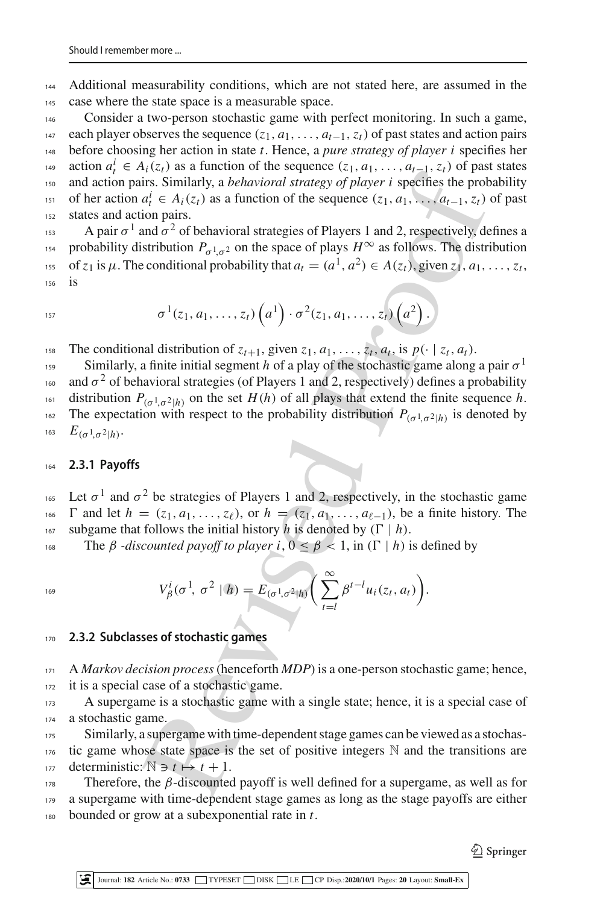<sup>144</sup> Additional measurability conditions, which are not stated here, are assumed in the <sup>145</sup> case where the state space is a measurable space.

 Consider a two-person stochastic game with perfect monitoring. In such a game, each player observes the sequence (*z*1, *a*1,..., *at*<sup>−</sup>1,*zt*) of past states and action pairs before choosing her action in state *t*. Hence, a *pure strategy of player i* specifies her *t*<sup>49</sup> *action*  $a_t^i$  ∈  $A_i(z_t)$  as a function of the sequence  $(z_1, a_1, \ldots, a_{t-1}, z_t)$  of past states and action pairs. Similarly, a *behavioral strategy of player i* specifies the probability of her action  $a_t^i \in A_i(z_t)$  as a function of the sequence  $(z_1, a_1, \ldots, a_{t-1}, z_t)$  of past states and action pairs.

<sup>153</sup> A pair  $\sigma^1$  and  $\sigma^2$  of behavioral strategies of Players 1 and 2, respectively, defines a probability distribution  $P_{\sigma^1\sigma^2}$  on the space of plays  $H^{\infty}$  as follows. The distribution of  $z_1$  is  $\mu$ . The conditional probability that  $a_t = (a^1, a^2) \in A(z_t)$ , given  $z_1, a_1, \ldots, z_t$ <sup>156</sup> is

$$
^{157}
$$

$$
\sigma^1(z_1,a_1,\ldots,z_t)\left(a^1\right)\cdot \sigma^2(z_1,a_1,\ldots,z_t)\left(a^2\right).
$$

The conditional distribution of  $z_{t+1}$ , given  $z_1, a_1, \ldots, z_t, a_t$ , is  $p(\cdot | z_t, a_t)$ .

 $\langle v_1 \rangle$  to a bundance of entroined by the proof  $\langle v_1 \rangle$  is equivalent  $\langle v_1 \rangle$  is equivalent to a single  $\langle A(z) \rangle$  as a function of the sequence  $(z_1, a_1, ..., a_{t-1}, z_t)$  on the sequence  $(z_1, a_1, ..., a_{t-1}, z_t)$  on the space Similarly, a finite initial segment *h* of a play of the stochastic game along a pair  $\sigma$ <sup>1</sup> <sup>160</sup> and  $\sigma^2$  of behavioral strategies (of Players 1 and 2, respectively) defines a probability distribution  $P_{(q_1, q_2|h)}$  on the set  $H(h)$  of all plays that extend the finite sequence h. The expectation with respect to the probability distribution  $P_{(\sigma^1, \sigma^2|h)}$  is denoted by 163  $E_{(\sigma^1, \sigma^2|h)}$ .

### <sup>164</sup> **2.3.1 Payoffs**

<sup>165</sup> Let  $\sigma$ <sup>1</sup> and  $\sigma$ <sup>2</sup> be strategies of Players 1 and 2, respectively, in the stochastic game 166  $\Gamma$  and let  $h = (z_1, a_1, \ldots, z_\ell)$ , or  $h = (z_1, a_1, \ldots, a_{\ell-1})$ , be a finite history. The 167 subgame that follows the initial history *h* is denoted by  $(\Gamma | h)$ .

168 The *β* -discounted payoff to player i,  $0 \le \beta < 1$ , in  $(Γ | h)$  is defined by

$$
V_{\beta}^i(\sigma^1, \sigma^2 | h) = E_{(\sigma^1, \sigma^2 | h)} \bigg( \sum_{t=l}^{\infty} \beta^{t-l} u_i(z_t, a_t) \bigg).
$$

# <sup>170</sup> **2.3.2 Subclasses of stochastic games**

<sup>171</sup> A *Markov decision process*(henceforth *MDP*) is a one-person stochastic game; hence, <sup>172</sup> it is a special case of a stochastic game.

<sup>173</sup> A supergame is a stochastic game with a single state; hence, it is a special case of <sup>174</sup> a stochastic game.

175 Similarly, a supergame with time-dependent stage games can be viewed as a stochas- $176$  tic game whose state space is the set of positive integers N and the transitions are 177 deterministic:  $N \ni t \mapsto t + 1$ .

Therefore, the  $\beta$ -discounted payoff is well defined for a supergame, as well as for <sup>179</sup> a supergame with time-dependent stage games as long as the stage payoffs are either <sup>180</sup> bounded or grow at a subexponential rate in *t*.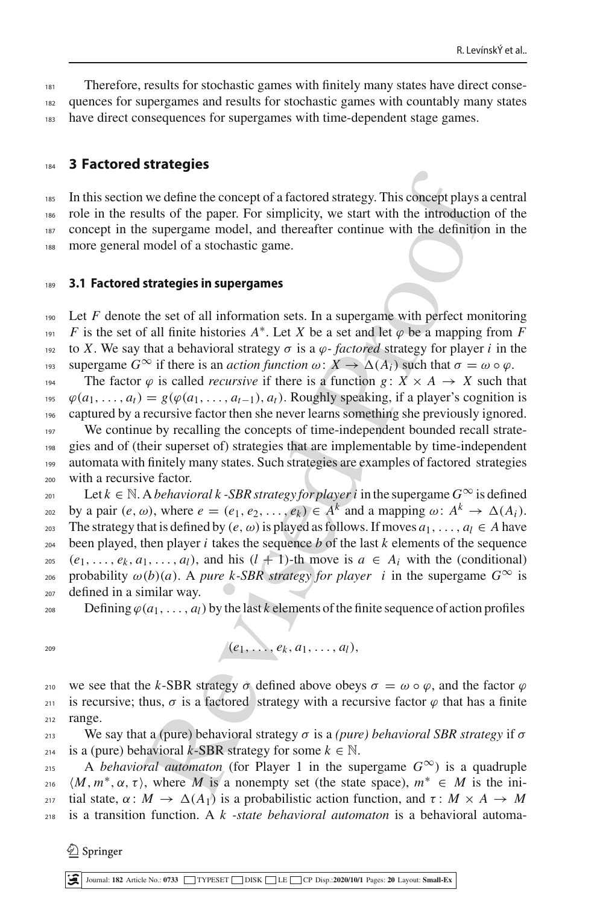<sup>181</sup> Therefore, results for stochastic games with finitely many states have direct conse-<sup>182</sup> quences for supergames and results for stochastic games with countably many states 183 have direct consequences for supergames with time-dependent stage games.

# <span id="page-5-0"></span><sup>184</sup> **3 Factored strategies**

<sup>185</sup> In this section we define the concept of a factored strategy. This concept plays a central role in the results of the paper. For simplicity, we start with the introduction of the concept in the supergame model, and thereafter continue with the definition in the more general model of a stochastic game.

#### <sup>189</sup> **3.1 Factored strategies in supergames**

we define the concept of a factored strategy. This concept plays a<br>sults of the paper. For simplicity, we start with the introduction<br>e supergame model, and thereafter continue with the introduction<br>model of a stochastic  $190$  Let *F* denote the set of all information sets. In a supergame with perfect monitoring *F* is the set of all finite histories  $A^*$ . Let *X* be a set and let  $\varphi$  be a mapping from *F* 192 to *X*. We say that a behavioral strategy  $\sigma$  is a  $\varphi$ -factored strategy for player *i* in the 193 supergame *G*<sup>∞</sup> if there is an *action function*  $ω: X \to Δ(A_i)$  such that  $σ = ω ∘ ψ$ . 194 The factor  $\varphi$  is called *recursive* if there is a function  $g: X \times A \rightarrow X$  such that  $\varphi(a_1, \ldots, a_t) = g(\varphi(a_1, \ldots, a_{t-1}), a_t)$ . Roughly speaking, if a player's cognition is <sup>196</sup> captured by a recursive factor then she never learns something she previously ignored. <sup>197</sup> We continue by recalling the concepts of time-independent bounded recall strate-

<sup>198</sup> gies and of (their superset of) strategies that are implementable by time-independent <sup>199</sup> automata with finitely many states. Such strategies are examples of factored strategies <sup>200</sup> with a recursive factor.

201 Let  $k \in \mathbb{N}$ . A *behavioral k -SBR strategy for player i* in the supergame  $G^{\infty}$  is defined by a pair  $(e, \omega)$ , where  $e = (e_1, e_2, \dots, e_k) \in A^k$  and a mapping  $\omega \colon A^k \to \Delta(A_i)$ . 203 The strategy that is defined by  $(e, \omega)$  is played as follows. If moves  $a_1, \ldots, a_l \in A$  have 204 been played, then player  $i$  takes the sequence  $b$  of the last  $k$  elements of the sequence  $\{e_1, \ldots, e_k, a_1, \ldots, a_l\}$ , and his  $(l + 1)$ -th move is  $a \in A_i$  with the (conditional) <sup>206</sup> probability ω(*b*)(*a*). A *pure k-SBR strategy for player i* in the supergame *G*<sup>∞</sup> is <sup>207</sup> defined in a similar way.

- $208$  Defining  $\varphi(a_1,\ldots,a_l)$  by the last *k* elements of the finite sequence of action profiles
- 

$$
(e_1, \ldots, e_k, a_1, \ldots, a_l),
$$

<sup>210</sup> we see that the *k*-SBR strategy  $\sigma$  defined above obeys  $\sigma = \omega \circ \varphi$ , and the factor  $\varphi$ 211 is recursive; thus,  $\sigma$  is a factored strategy with a recursive factor  $\varphi$  that has a finite <sup>212</sup> range.

<sup>213</sup> We say that a (pure) behavioral strategy  $\sigma$  is a *(pure) behavioral SBR strategy* if  $\sigma$ 214 is a (pure) behavioral *k*-SBR strategy for some  $k \in \mathbb{N}$ .

215 A *behavioral automaton* (for Player 1 in the supergame  $G^{\infty}$ ) is a quadruple  $\langle M, m^*, \alpha, \tau \rangle$ , where *M* is a nonempty set (the state space),  $m^* \in M$  is the ini- $217$  tial state, α : *M* →  $\Delta(A_1)$  is a probabilistic action function, and τ : *M* × *A* → *M* <sup>218</sup> is a transition function. A *k -state behavioral automaton* is a behavioral automa-

 $\textcircled{2}$  Springer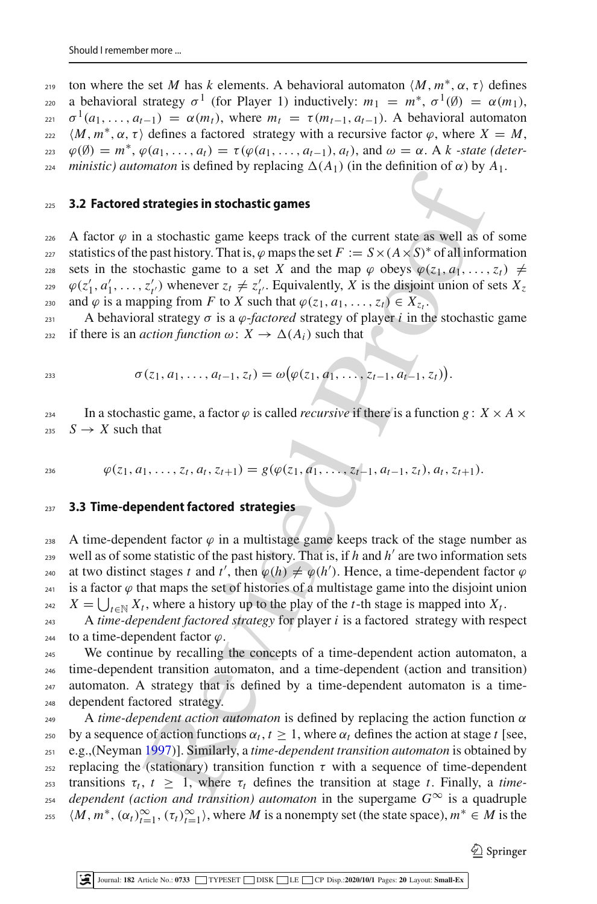ton where the set M has k elements. A behavioral automaton  $\langle M, m^*, \alpha, \tau \rangle$  defines a behavioral strategy  $\sigma^1$  (for Player 1) inductively:  $m_1 = m^*$ ,  $\sigma^1(\emptyset) = \alpha(m_1)$ ,  $\sigma^1(a_1,\ldots,a_{t-1}) = \alpha(m_t)$ , where  $m_t = \tau(m_{t-1},a_{t-1})$ . A behavioral automaton *m*<sup>\*</sup>, α, τ) defines a factored strategy with a recursive factor  $\varphi$ , where *X* = *M*,  $\varphi(\emptyset) = m^*, \varphi(a_1, \ldots, a_t) = \tau(\varphi(a_1, \ldots, a_{t-1}), a_t)$ , and  $\omega = \alpha$ . A *k* -state (deter*z*<sub>24</sub> *ministic) automaton* is defined by replacing  $\Delta(A_1)$  (in the definition of  $\alpha$ ) by  $A_1$ .

#### <sup>225</sup> **3.2 Factored strategies in stochastic games**

226 A factor  $\varphi$  in a stochastic game keeps track of the current state as well as of some statistics of the past history. That is,  $\varphi$  maps the set  $F := S \times (A \times S)^*$  of all information 228 sets in the stochastic game to a set *X* and the map  $\varphi$  obeys  $\varphi(z_1, a_1, \ldots, z_t) \neq$  $\varphi(z'_1, a'_1, \ldots, z'_{t'})$  whenever  $z_t \neq z'_{t'}$ . Equivalently, *X* is the disjoint union of sets  $X_z$ and  $\varphi$  is a mapping from *F* to *X* such that  $\varphi(z_1, a_1, \ldots, z_t) \in X_{z_t}$ .

 $231$  A behavioral strategy *σ* is a *φ*-*factored* strategy of player *i* in the stochastic game 232 if there is an *action function*  $\omega: X \to \Delta(A_i)$  such that

$$
\sigma(z_1, a_1, \ldots, a_{t-1}, z_t) = \omega(\varphi(z_1, a_1, \ldots, z_{t-1}, a_{t-1}, z_t)).
$$

234 In a stochastic game, a factor  $\varphi$  is called *recursive* if there is a function  $g : X \times A \times$  $235 \tS \rightarrow X$  such that

$$
\varphi(z_1, a_1, \ldots, z_t, a_t, z_{t+1}) = g(\varphi(z_1, a_1, \ldots, z_{t-1}, a_{t-1}, z_t), a_t, z_{t+1}).
$$

# <sup>237</sup> **3.3 Time-dependent factored strategies**

238 A time-dependent factor  $\varphi$  in a multistage game keeps track of the stage number as well as of some statistic of the past history. That is, if  $h$  and  $h'$  are two information sets at two distinct stages *t* and *t'*, then  $\varphi(h) \neq \varphi(h')$ . Hence, a time-dependent factor  $\varphi$ <sup>241</sup> is a factor  $\varphi$  that maps the set of histories of a multistage game into the disjoint union <sup>242</sup>  $X = \bigcup_{t \in \mathbb{N}} X_t$ , where a history up to the play of the *t*-th stage is mapped into  $X_t$ .

<sup>243</sup> A *time-dependent factored strategy* for player *i* is a factored strategy with respect  $_{244}$  to a time-dependent factor  $\varphi$ .

 We continue by recalling the concepts of a time-dependent action automaton, a time-dependent transition automaton, and a time-dependent (action and transition) automaton. A strategy that is defined by a time-dependent automaton is a time-dependent factored strategy.

strategies in stochastic games<br>as tochastic game keeps track of the current state as well as o<br>past history. That is,  $\varphi$  maps the set  $F := S \times (A \times S)^*$  of all infor<br>cochastic game to a set  $X$  and the map  $\varphi$  obeys  $\psi(c$  $249$  A *time-dependent action automaton* is defined by replacing the action function  $\alpha$ by a sequence of action functions  $\alpha_t$ ,  $t \geq 1$ , where  $\alpha_t$  defines the action at stage *t* [see, <sup>251</sup> e.g.,(Neyma[n](#page-18-12) 1997)]. Similarly, a *time-dependent transition automaton* is obtained by <sup>252</sup> replacing the (stationary) transition function τ with a sequence of time-dependent *th*  $\tau_t$ ,  $t \geq 1$ , where  $\tau_t$  defines the transition at stage *t*. Finally, a *time*-<sup>254</sup> *dependent (action and transition) automaton* in the supergame  $G^{\infty}$  is a quadruple 255  $\langle M, m^*, (\alpha_t)_{t=1}^\infty, (\tau_t)_{t=1}^\infty \rangle$ , where *M* is a nonempty set (the state space),  $m^* \in M$  is the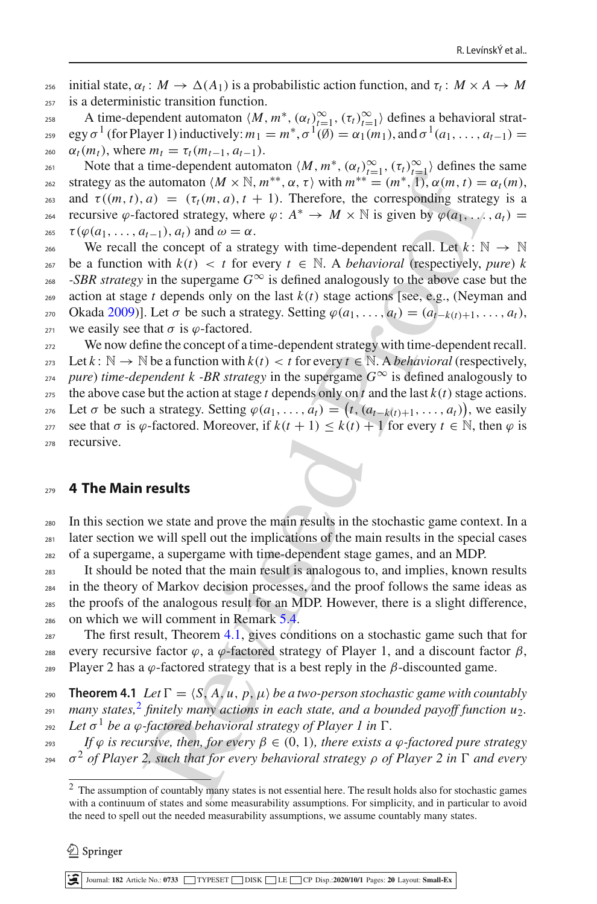initial state,  $\alpha_t : M \to \Delta(A_1)$  is a probabilistic action function, and  $\tau_t : M \times A \to M$ <sup>257</sup> is a deterministic transition function.

A time-dependent automaton  $\langle M, m^*, (\alpha_t)_{t=1}^\infty, (\tau_t)_{t=1}^\infty \rangle$  defines a behavioral strategy  $\sigma^1$  (for Player 1) inductively:  $m_1 = m^*, \sigma^1(\vec{\emptyset}) = \alpha_1(m_1),$  and  $\sigma^1(a_1, \ldots, a_{t-1}) =$ 260  $\alpha_t(m_t)$ , where  $m_t = \tau_t(m_{t-1}, a_{t-1})$ .

Note that a time-dependent automaton  $\langle M, m^*, (\alpha_t)_{t=1}^\infty, (\tau_t)_{t=1}^\infty \rangle$  defines the same strategy as the automaton  $\langle M \times \mathbb{N}, m^{**}, \alpha, \tau \rangle$  with  $m^{**} = (m^*, 1), \alpha(m, t) = \alpha_t(m),$ 263 and  $\tau((m, t), a) = (\tau_t(m, a), t + 1)$ . Therefore, the corresponding strategy is a recursive *ϕ*-factored strategy, where *ϕ* :  $A^* \rightarrow M \times \mathbb{N}$  is given by  $\varphi(a_1, \ldots, a_t) =$ <sup>265</sup>  $\tau(\varphi(a_1,\ldots,a_{t-1}),a_t)$  and  $\omega=\alpha$ .

266 We recall the concept of a strategy with time-dependent recall. Let  $k : \mathbb{N} \to \mathbb{N}$ 267 be a function with  $k(t) < t$  for every  $t \in \mathbb{N}$ . A *behavioral* (respectively, *pure*) *k*  $268$  *-SBR strategy* in the supergame  $G^{\infty}$  is defined analogously to the above case but the 269 action at stage *t* depends only on the last  $k(t)$  stage actions [see, e.g., (Neyman and 270 Ok[a](#page-18-13)da [2009](#page-18-13))]. Let  $\sigma$  be such a strategy. Setting  $\varphi(a_1, \ldots, a_t) = (a_{t-k}(t+1), \ldots, a_t)$ , 271 we easily see that  $\sigma$  is  $\varphi$ -factored.

can as expected that the [i](#page-15-0)nterpret of  $\mathbb{R}^n$ ,  $\mathbb{R}^n$ ,  $\mathbb{R}^n$ ,  $\mathbb{R}^n$ ,  $\mathbb{R}^n$ ,  $\mathbb{R}^n$ ,  $\mathbb{R}^n$ ,  $\mathbb{R}^n$  and  $\mathbb{R}^n$  and  $\mathbb{R}^n$  and  $\mathbb{R}^n$  and  $\mathbb{R}^n$ ,  $\mathbb{R}^n$ ,  $\mathbb{R}^n$ ,  $\math$ <sup>272</sup> We now define the concept of a time-dependent strategy with time-dependent recall. 273 Let  $k: \mathbb{N} \to \mathbb{N}$  be a function with  $k(t) < t$  for every  $t \in \mathbb{N}$ . A *behavioral* (respectively, *z<sub>14</sub> pure*) *time-dependent k -BR strategy* in the supergame  $G^{\infty}$  is defined analogously to 275 the above case but the action at stage *t* depends only on *t* and the last  $k(t)$  stage actions. 276 Let  $\sigma$  be such a strategy. Setting  $\varphi$ ( $a_1, \ldots, a_t$ ) = ( $t$ , ( $a_{t-k(t)+1}, \ldots, a_t$ )), we easily <sup>277</sup> see that σ is *ϕ*-factored. Moreover, if  $k(t + 1) \leq k(t) + 1$  for every  $t \in \mathbb{N}$ , then *ϕ* is <sup>278</sup> recursive.

# <span id="page-7-0"></span><sup>279</sup> **4 The Main results**

<sup>280</sup> In this section we state and prove the main results in the stochastic game context. In a  $_{281}$  later section we will spell out the implications of the main results in the special cases <sup>282</sup> of a supergame, a supergame with time-dependent stage games, and an MDP.

 It should be noted that the main result is analogous to, and implies, known results in the theory of Markov decision processes, and the proof follows the same ideas as the proofs of the analogous result for an MDP. However, there is a slight difference, on which we will comment in Remark 5.4.

<sup>287</sup> The first result, Theorem 4.1, gives conditions on a stochastic game such that for <sup>288</sup> every recursive factor  $\varphi$ , a  $\varphi$ -factored strategy of Player 1, and a discount factor  $\beta$ , 289 Player 2 has a  $\varphi$ -factored strategy that is a best reply in the β-discounted game.

<span id="page-7-1"></span>290 **Theorem 4.1** *Let*  $\Gamma = \langle S, A, u, p, \mu \rangle$  *be a two-person stochastic game with countably many states,*<sup>[2](#page-7-2)</sup> finitely many actions in each state, and a bounded payoff function  $u_2$ . *292 Let*  $\sigma^1$  *be a*  $\varphi$ *-factored behavioral strategy of Player 1 in*  $\Gamma$ *.* 

<sup>293</sup> *If* ϕ *is recursive, then, for every* β ∈ (0, 1)*, there exists a* ϕ*-factored pure strategy*  $\sigma^2$  *of Player 2, such that for every behavioral strategy ρ of Player 2 in* Γ *and every* 

 $\mathcal{L}$  Springer

<span id="page-7-2"></span><sup>&</sup>lt;sup>2</sup> The assumption of countably many states is not essential here. The result holds also for stochastic games with a continuum of states and some measurability assumptions. For simplicity, and in particular to avoid the need to spell out the needed measurability assumptions, we assume countably many states.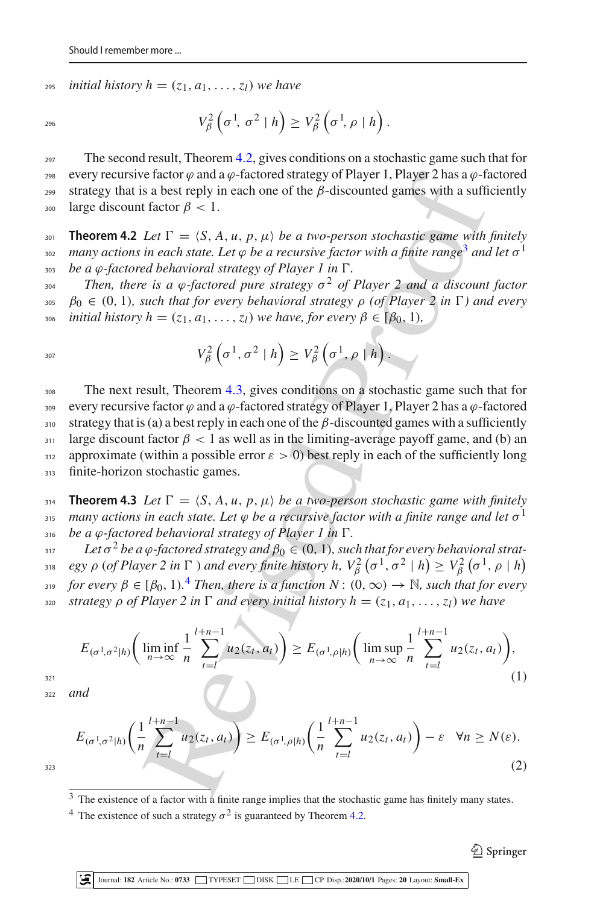*z*<sub>295</sub> *initial history h* =  $(z_1, a_1, \ldots, z_l)$  *we have* 

$$
V_{\beta}^{2}\left(\sigma^{1}, \sigma^{2} \mid h\right) \geq V_{\beta}^{2}\left(\sigma^{1}, \rho \mid h\right).
$$

<sup>297</sup> The second result, Theorem [4.2,](#page-8-0) gives conditions on a stochastic game such that for every recursive factor  $\varphi$  and a  $\varphi$ -factored strategy of Player 1, Player 2 has a  $\varphi$ -factored 299 strategy that is a best reply in each one of the  $β$ -discounted games with a sufficiently 300 large discount factor  $\beta$  < 1.

<span id="page-8-0"></span>301 **Theorem 4.2** *Let*  $\Gamma = \langle S, A, u, p, \mu \rangle$  *be a two-person stochastic game with finitely nany actions in each state. Let*  $\varphi$  *be a recursive factor with a finite range<sup>3</sup> and let*  $\sigma$ <sup>1</sup>  $\delta$ <sub>303</sub> *be a*  $\varphi$ *-factored behavioral strategy of Player 1 in*  $\Gamma$ .

 $T_{\text{204}}$  Then, there is a φ-factored pure strategy  $σ<sup>2</sup>$  of Player 2 and a discount factor 305  $\beta_0 \in (0, 1)$ *, such that for every behavioral strategy*  $\rho$  *(of Player 2 in*  $\Gamma$ ) and every 306 *initial history h* = (*z*<sub>1</sub>, *a*<sub>1</sub>, ...,*z*<sub>*l*</sub>) *we have, for every*  $\beta \in [\beta_0, 1)$ *,* 

$$
V_{\beta}^{2}\left(\sigma^{1},\sigma^{2} \mid h\right) \geq V_{\beta}^{2}\left(\sigma^{1},\rho \mid h\right).
$$

e fact[o](#page-8-1)r  $q$  and  $a \rightarrow$  factored strategy of Player 1, Player 2 has a  $\varphi$ -factor  $\varphi$  and  $\varphi$ -factor  $\varphi$  is a best reply in each one of the  $\beta$ -discounted games with a suffit factor  $\beta$  < 1.<br>
Let  $\Gamma = (S, A, u, p, \mu)$ <sup>308</sup> The next result, Theorem [4.3,](#page-8-2) gives conditions on a stochastic game such that for 309 every recursive factor  $\varphi$  and a  $\varphi$ -factored strategy of Player 1, Player 2 has a  $\varphi$ -factored 310 strategy that is (a) a best reply in each one of the  $\beta$ -discounted games with a sufficiently  $311$  large discount factor  $\beta$  < 1 as well as in the limiting-average payoff game, and (b) an 312 approximate (within a possible error  $\varepsilon > 0$ ) best reply in each of the sufficiently long 313 finite-horizon stochastic games.

<span id="page-8-2"></span>**Theorem 4.3** *Let*  $\Gamma = \langle S, A, u, p, \mu \rangle$  *be a two-person stochastic game with finitely many actions in each state. Let*  $\varphi$  *be a recursive factor with a finite range and let*  $\sigma$ <sup>1</sup>  $\mu$ <sub>316</sub> *be a*  $\varphi$ *-factored behavioral strategy of Player 1 in*  $\Gamma$ .

 $B_{317}$  *be a φ*-factored strategy and  $β_0 ∈ (0, 1)$ , such that for every behavioral strat*egy*  $\rho$  (*of Player 2 in*  $\Gamma$  ) *and every finite history h,*  $V_\beta^2$   $(\sigma^1, \sigma^2 \mid h) \geq V_\beta^2$   $(\sigma^1, \rho \mid h)$ 318 *for every*  $\beta \in [\beta_0, 1)$ .<sup>4</sup> *Then, there is a function N* :  $(0, \infty) \to \mathbb{N}$ *, such that for every* 320 *strategy*  $\rho$  *of Player 2 in*  $\Gamma$  *and every initial history*  $h = (z_1, a_1, \ldots, z_l)$  *we have* 

<span id="page-8-4"></span>
$$
E_{(\sigma^1, \sigma^2|h)} \bigg( \liminf_{n \to \infty} \frac{1}{n} \sum_{t=1}^{l+n-1} u_2(z_t, a_t) \bigg) \ge E_{(\sigma^1, \rho|h)} \bigg( \limsup_{n \to \infty} \frac{1}{n} \sum_{t=l}^{l+n-1} u_2(z_t, a_t) \bigg),\tag{1}
$$

<sup>322</sup> *and*

<span id="page-8-5"></span>
$$
E_{(\sigma^1, \sigma^2|h)}\left(\frac{1}{n}\sum_{t=l}^{l+n-1}u_2(z_t, a_t)\right) \ge E_{(\sigma^1, \rho|h)}\left(\frac{1}{n}\sum_{t=l}^{l+n-1}u_2(z_t, a_t)\right) - \varepsilon \quad \forall n \ge N(\varepsilon).
$$
\n(2)

<span id="page-8-1"></span><sup>&</sup>lt;sup>3</sup> The existence of a factor with a finite range implies that the stochastic game has finitely many states.

<span id="page-8-3"></span><sup>&</sup>lt;sup>4</sup> The existence of such a strategy  $\sigma^2$  is guaranteed by Theorem [4.2.](#page-8-0)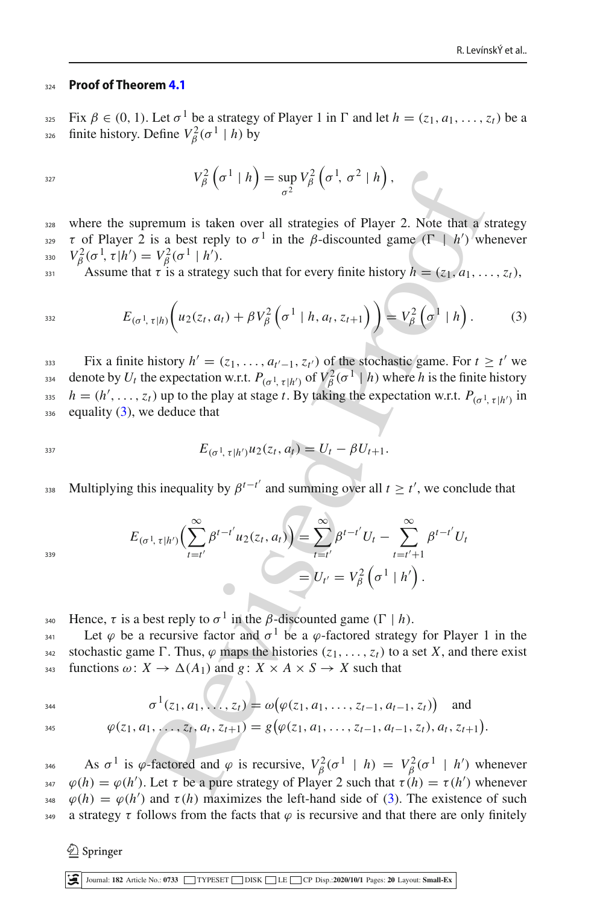#### <sup>324</sup> **Proof of Theorem [4.1](#page-7-1)**

Fix  $\beta \in (0, 1)$ . Let  $\sigma^1$  be a strategy of Player 1 in  $\Gamma$  and let  $h = (z_1, a_1, \ldots, z_t)$  be a <sup>326</sup> finite history. Define  $V_\beta^2(\sigma^1 \mid h)$  by

$$
V_{\beta}^{2}\left(\sigma^{1} \mid h\right) = \sup_{\sigma^{2}} V_{\beta}^{2}\left(\sigma^{1}, \sigma^{2} \mid h\right),
$$

<sup>328</sup> where the supremum is taken over all strategies of Player 2. Note that a strategy  $\tau$  of Player 2 is a best reply to  $\sigma$ <sup>1</sup> in the β-discounted game ( $\Gamma$  | *h'*) whenever <sub>330</sub>  $V_\beta^2(\sigma^1, \tau | h') = V_\beta^2(\sigma^1 | h').$ 

Assume that  $\tau$  is a strategy such that for every finite history  $h = (z_1, a_1, \ldots, z_t)$ ,

<span id="page-9-0"></span>
$$
E_{(\sigma^1, \tau|h)}\bigg(u_2(z_t, a_t) + \beta V_\beta^2\left(\sigma^1|h, a_t, z_{t+1}\right)\bigg) = V_\beta^2\left(\sigma^1|h\right). \tag{3}
$$

Fix a finite history  $h' = (z_1, \ldots, a_{t'-1}, z_{t'})$  of the stochastic game. For  $t \ge t'$  we denote by  $U_t$  the expectation w.r.t.  $P_{(\sigma^1, \tau | h')}$  of  $V_\beta^2(\sigma^1 | h)$  where *h* is the finite history *h* = (*h*<sup>'</sup>, ..., *z<sub>t</sub>*) up to the play at stage *t*. By taking the expectation w.r.t.  $P_{(\sigma^1, \tau | h')}$  in  $_{336}$  equality [\(3\)](#page-9-0), we deduce that

$$
E_{(\sigma^1, \tau | h')} u_2(z_t, a_t) = U_t - \beta U_{t+1}.
$$

Multiplying this inequality by  $\beta^{t-t'}$  and summing over all  $t \geq t'$ , we conclude that

$$
V_{\beta}^{2}(\sigma^{1} | h) = \sup_{\sigma^{2}} V_{\beta}^{2}(\sigma^{1}, \sigma^{2} | h),
$$
  
\nsupernum is taken over all strategies of Player 2. Note that a's  
\ner 2 is a best reply to  $\sigma^{1}$  in the  $\beta$ -discounted game ( $\Gamma | h'$ ) which  
\n $h' = V_{\beta}^{2}(\sigma^{1} | h').$   
\nthe that  $\tau$  is a strategy such that for every finite history  $h = (z_{1}, a_{1}, ...$   
\n $E_{(\sigma^{1}, \tau|h)}(u_{2}(z_{t}, a_{t}) + \beta V_{\beta}^{2}(\sigma^{1} | h, a_{t}, z_{t+1})) = V_{\beta}^{2}(\sigma^{1} | h).$   
\nnit the history  $h' = (z_{1}, ..., a_{t'-1}, z_{t'})$  of the stochastic game. For  $t \geq t$   
\n $U_{t}$  the expectation w.r.t.  $P_{(\sigma^{1}, \tau|h')} \text{ of } V_{\beta}^{2}(\sigma^{1} | h)$  where  $h$  is the finite  
\n...,  $z_{t}$ ) up to the play at stage  $t$ . By taking the expectation w.r.t.  $P_{(\sigma^{1}, \tau|h')} \text{ of } V_{\beta}^{2}(\sigma^{1} | h)$  where  $h$  is the finite  
\n...,  $z_{t}$ ) up to the play at stage  $t$ . By taking the expectation w.r.t.  $P_{(\sigma^{1}, \tau|h')} \text{ of } V_{\beta}^{2}(\sigma^{1} | h)$ ,  
\nby we deduce that  
\n $E_{(\sigma^{1}, \tau|h')}(\sum_{t=t'}^{\infty} \beta^{t-t'} u_{2}(z_{t}, a_{t})) = \sum_{t=t'}^{\infty} \beta^{t-t'} U_{t} - \sum_{t=t'+1}^{\infty} \beta^{t-t'} U_{t}$   
\n $= U_{t'} = V_{\beta}^{2}(\sigma^{1} | h').$   
\nis a best reply to  $\sigma^{1}$  in the  $\beta$ -discounted game ( $\Gamma | h$ ).  
\nbe a recursive factor and  $\sigma^{1}$  be a  $\varphi$ -factored strategy for Player 1  
\ngame  $\Gamma$ . Thus,  $\varphi$  maps the histories ( $z_{1}, ..., z_{t-1},$ 

339

Hence, τ is a best reply to  $\sigma^1$  in the *β*-discounted game ( $\Gamma | h$ ).

<sup>341</sup> Let *φ* be a recursive factor and  $\sigma$ <sup>1</sup> be a *φ*-factored strategy for Player 1 in the 342 stochastic game  $\Gamma$ . Thus,  $\varphi$  maps the histories  $(z_1, \ldots, z_t)$  to a set *X*, and there exist  $343$  functions  $\omega: X \to \Delta(A_1)$  and  $g: X \times A \times S \to X$  such that

 $\sigma^{1}(z_1, a_1, \ldots, z_t) = \omega(\varphi(z_1, a_1, \ldots, z_{t-1}, a_{t-1}, z_t))$  and

$$
\varphi(z_1, a_1, \ldots, z_t, a_t, z_{t+1}) = g(\varphi(z_1, a_1, \ldots, z_{t-1}, a_{t-1}, z_t), a_t, z_{t+1}).
$$

As  $\sigma^1$  is *φ*-factored and *φ* is recursive,  $V_\beta^2(\sigma^1 \mid h) = V_\beta^2(\sigma^1 \mid h')$  whenever  $\varphi(h) = \varphi(h')$ . Let  $\tau$  be a pure strategy of Player 2 such that  $\tau(h) = \tau(h')$  whenever  $\varphi(h) = \varphi(h')$  and  $\tau(h)$  maximizes the left-hand side of [\(3\)](#page-9-0). The existence of such 349 a strategy  $\tau$  follows from the facts that  $\varphi$  is recursive and that there are only finitely

 $\textcircled{2}$  Springer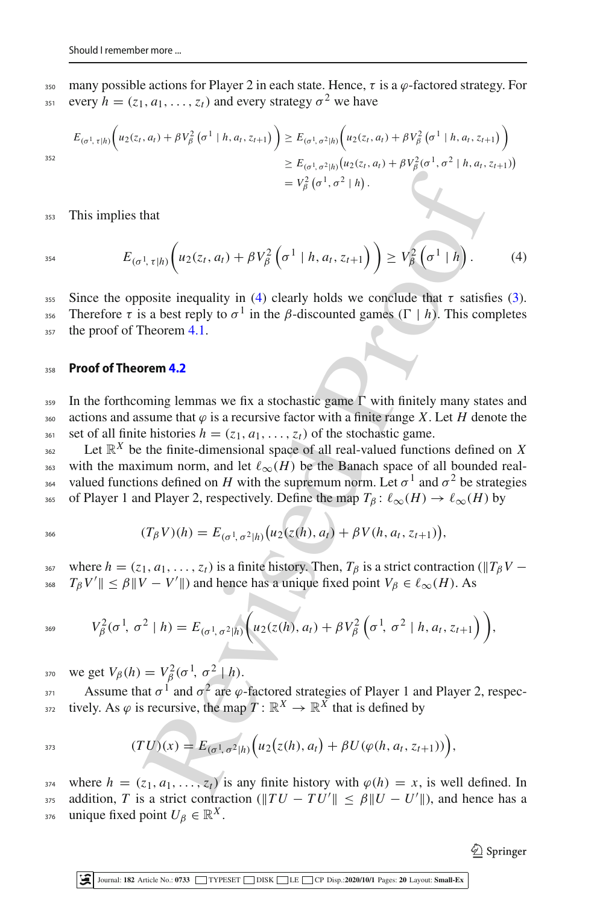350 many possible actions for Player 2 in each state. Hence,  $\tau$  is a  $\varphi$ -factored strategy. For every  $h = (z_1, a_1, \ldots, z_t)$  and every strategy  $\sigma^2$  we have

$$
E_{(\sigma^1, \tau|h)}\bigg(u_2(z_t, a_t) + \beta V_\beta^2\bigg(\sigma^1|h, a_t, z_{t+1}\bigg)\bigg) \ge E_{(\sigma^1, \sigma^2|h)}\bigg(u_2(z_t, a_t) + \beta V_\beta^2\bigg(\sigma^1|h, a_t, z_{t+1}\bigg)\bigg) \ge E_{(\sigma^1, \sigma^2|h)}\big(u_2(z_t, a_t) + \beta V_\beta^2(\sigma^1, \sigma^2|h, a_t, z_{t+1})\big) = V_\beta^2\bigg(\sigma^1, \sigma^2|h\bigg).
$$

<sup>353</sup> This implies that

352

<span id="page-10-0"></span>
$$
E_{(\sigma^1, \tau|h)}\bigg(u_2(z_t, a_t) + \beta V_\beta^2\left(\sigma^1|h, a_t, z_{t+1}\right)\bigg) \geq V_\beta^2\left(\sigma^1|h\right). \tag{4}
$$

355 Since the opposite inequality in [\(4\)](#page-10-0) clearly holds we conclude that  $\tau$  satisfies [\(3\)](#page-9-0). Therefore  $\tau$  is a best reply to  $\sigma^1$  in the *β*-discounted games ( $\Gamma | h$ ). This completes 357 the proof of Theorem [4.1.](#page-7-1)

#### <sup>358</sup> **Proof of Theorem [4.2](#page-8-0)**

 $359$  In the forthcoming lemmas we fix a stochastic game  $\Gamma$  with finitely many states and 360 actions and assume that  $\varphi$  is a recursive factor with a finite range *X*. Let *H* denote the 361 set of all finite histories  $h = (z_1, a_1, \ldots, z_t)$  of the stochastic game.

 $= V_{\beta}^2 (\sigma^1, \sigma^2 | h)$ .<br>
that<br>
that<br>  $\lim_{x \to h_0} \left( u_2(z_i, a_i) + \beta V_{\beta}^2 (\sigma^1 | h, a_i, z_{i+1}) \right) \geq V_{\beta}^2 (\sigma^1 | h)$ .<br>
sosite inequality in (4) clearly holds we conclude that  $\tau$  satisfs<br>
a best reply to  $\sigma^1$  in the  $\beta$ -discou  $L$ <sub>362</sub> Let  $\mathbb{R}^X$  be the finite-dimensional space of all real-valued functions defined on *X* 363 with the maximum norm, and let  $\ell_{\infty}(H)$  be the Banach space of all bounded realvalued functions defined on *H* with the supremum norm. Let  $σ<sup>1</sup>$  and  $σ<sup>2</sup>$  be strategies 365 of Player 1 and Player 2, respectively. Define the map  $T_\beta$ :  $\ell_\infty(H) \to \ell_\infty(H)$  by

$$
(T_{\beta}V)(h) = E_{(\sigma^1, \sigma^2|h)}(u_2(z(h), a_t) + \beta V(h, a_t, z_{t+1})),
$$

367 where  $h = (z_1, a_1, \ldots, z_t)$  is a finite history. Then,  $T_\beta$  is a strict contraction ( $||T_\beta V -$ <sup>368</sup>  $T_{\beta}V'$   $\leq \beta$   $\|V - V'\|$  and hence has a unique fixed point  $V_{\beta} \in \ell_{\infty}(H)$ . As

$$
V_{\beta}^{2}(\sigma^{1}, \sigma^{2} | h) = E_{(\sigma^{1}, \sigma^{2} | h)}\bigg(u_{2}(z(h), a_{t}) + \beta V_{\beta}^{2}\bigg(\sigma^{1}, \sigma^{2} | h, a_{t}, z_{t+1}\bigg)\bigg),
$$

<sup>370</sup> we get  $V_\beta(h) = V_\beta^2(\sigma^1, \sigma^2 | h)$ .

Assume that  $\sigma^1$  and  $\sigma^2$  are  $\varphi$ -factored strategies of Player 1 and Player 2, respectively. As  $\varphi$  is recursive, the map  $T: \mathbb{R}^X \to \mathbb{R}^X$  that is defined by

$$
(TU)(x) = E_{(\sigma^1, \sigma^2 | h)}(u_2(z(h), a_t) + \beta U(\varphi(h, a_t, z_{t+1}))),
$$

374 where  $h = (z_1, a_1, \ldots, z_t)$  is any finite history with  $\varphi(h) = x$ , is well defined. In addition, *T* is a strict contraction  $(\|TU - TU'\| \le \beta \|U - U'\|)$ , and hence has a <sup>376</sup> unique fixed point  $U_β ∈ ℝ^X$ .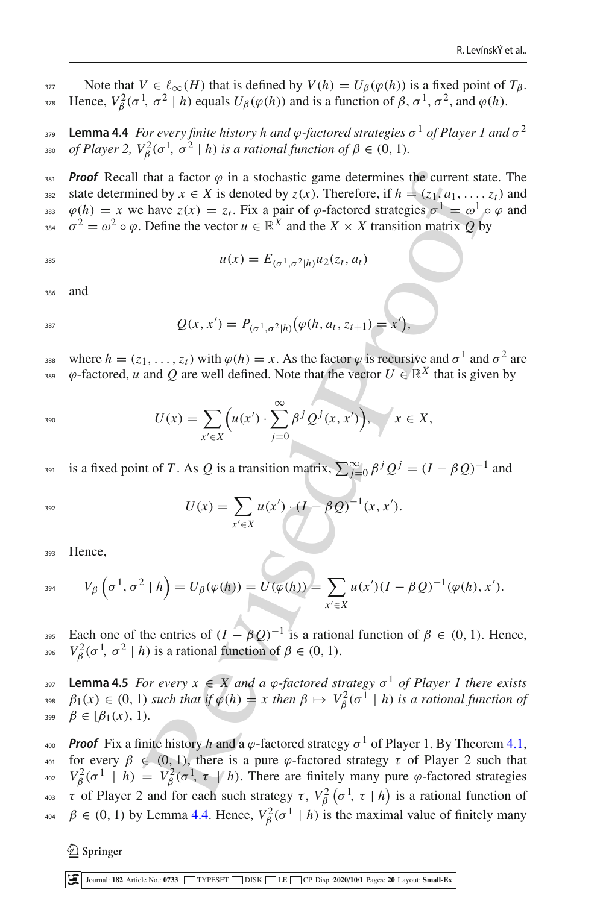<span id="page-11-0"></span>377 Note that *V* ∈  $\ell_{\infty}(H)$  that is defined by *V*(*h*) = *U*<sub>β</sub>( $\varphi$ (*h*)) is a fixed point of *T*<sub>β</sub>. <sup>378</sup> Hence,  $V_\beta^2(\sigma^1, \sigma^2 | h)$  equals  $U_\beta(\varphi(h))$  and is a function of  $\beta, \sigma^1, \sigma^2$ , and  $\varphi(h)$ .

**Lemma 4.4** *For every finite history h and φ-factored strategies*  $\sigma$ <sup>1</sup> *of Player 1 and*  $\sigma$ <sup>2</sup>  $\sigma$ <sub>380</sub> *of Player 2, V*<sub>β</sub><sup>2</sup>( $\sigma$ <sup>1</sup>,  $\sigma$ <sup>2</sup> | *h*) *is a rational function of*  $\beta \in (0, 1)$ *.* 

*Proof* Recall that a factor  $\varphi$  in a stochastic game determines the current state. The 382 state determined by  $x \in X$  is denoted by  $z(x)$ . Therefore, if  $h = (z_1, a_1, \ldots, z_t)$  and  $\varphi(h) = x$  we have  $z(x) = z_t$ . Fix a pair of  $\varphi$ -factored strategies  $\sigma^1 = \omega^1 \circ \varphi$  and <sup>384</sup>  $\sigma^2 = \omega^2 \circ \varphi$ . Define the vector  $u \in \mathbb{R}^X$  and the *X* × *X* transition matrix *Q* by

$$
u(x) = E_{(\sigma^1, \sigma^2 | h)} u_2(z_t, a_t)
$$

<sup>386</sup> and

$$
Q(x, x') = P_{(\sigma^1, \sigma^2 | h)}(\varphi(h, a_t, z_{t+1}) = x'),
$$

where  $h = (z_1, \ldots, z_t)$  with  $\varphi(h) = x$ . As the factor  $\varphi$  is recursive and  $\sigma^1$  and  $\sigma^2$  are  $\varphi$ -factored, *u* and *Q* are well defined. Note that the vector *U* ∈ R<sup>*X*</sup> that is given by

$$
U(x) = \sum_{x' \in X} \left( u(x') \cdot \sum_{j=0}^{\infty} \beta^j Q^j(x, x') \right), \quad x \in X,
$$

 $\sum_{j=0}^{\infty} \beta^j Q^j = (I - \beta Q)^{-1}$  and

$$
U(x) = \sum_{x' \in X} u(x') \cdot (I - \beta Q)^{-1}(x, x').
$$

<sup>393</sup> Hence,

$$
V_{\beta}\left(\sigma^1,\sigma^2\mid h\right)=U_{\beta}(\varphi(h))=U(\varphi(h))=\sum_{x'\in X}u(x')(I-\beta Q)^{-1}(\varphi(h),x').
$$

Each one of the entries of  $(I - \beta Q)^{-1}$  is a rational function of  $\beta \in (0, 1)$ . Hence, <sup>396</sup> *V*<sub>β</sub><sup>2</sup>( $\sigma$ <sup>1</sup>,  $\sigma$ <sup>2</sup> | *h*) is a rational function of  $\beta \in (0, 1)$ .

<span id="page-11-1"></span>**Lemma 4.5** *For every*  $x \in X$  *and a*  $\varphi$ -factored strategy  $\sigma$ <sup>1</sup> of Player 1 there exists <sup>398</sup>  $\beta_1(x) \in (0, 1)$  *such that if*  $\varphi(h) = x$  *then*  $\beta \mapsto V_\beta^2(\sigma^1 \mid h)$  *is a rational function of* 399  $\beta \in [\beta_1(x), 1]$ .

that a factor  $\varphi$  in a stochastic game determines the current state<br>
neared by  $x \in X$  is denoted by  $z(x)$ . Then force, if  $h = (z_1, a_1, ..., z_t)$ <br>
have  $z(x) = z_t$ . Fix a pair of  $\varphi$ -factored strategies  $\sigma^1 = \omega^1 \sigma$ <br>
Define t *A00 Proof* Fix a finite history *h* and a  $\varphi$ -factored strategy  $\sigma$ <sup>1</sup> of Player 1. By Theorem [4.1,](#page-7-1) 401 for every  $\beta \in (0, 1)$ , there is a pure  $\varphi$ -factored strategy  $\tau$  of Player 2 such that <sup>402</sup>  $V_\beta^2(\sigma^1 \mid h) = V_\beta^2(\sigma^1, \tau \mid h)$ . There are finitely many pure φ-factored strategies <sup>403</sup> τ of Player 2 and for each such strategy τ,  $V_\beta^2(\sigma^1, \tau \mid h)$  is a rational function of <sup>404</sup>  $β ∈ (0, 1)$  by Lemma [4.4.](#page-11-0) Hence,  $V^2_β(σ^1 | h)$  is the maximal value of finitely many

 $\textcircled{2}$  Springer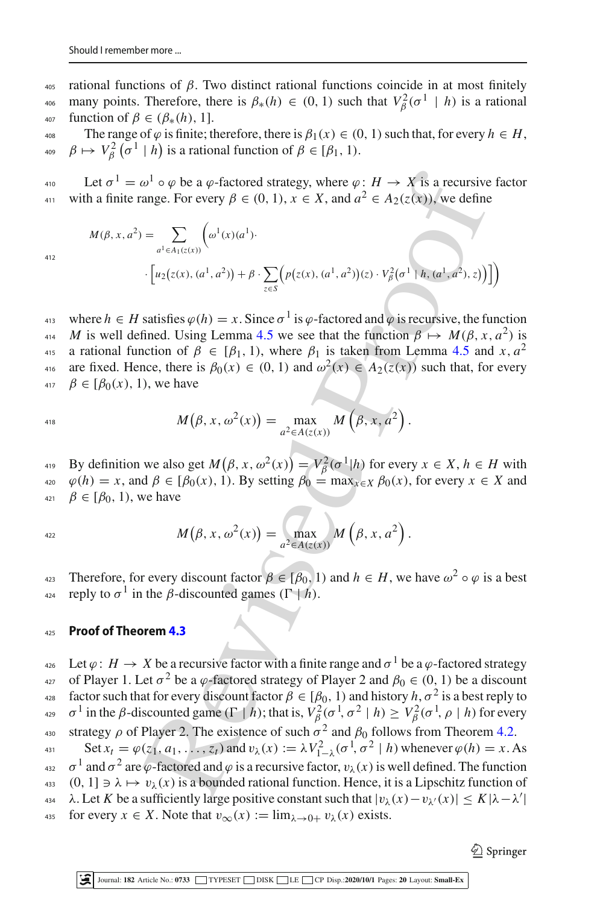405 rational functions of  $β$ . Two distinct rational functions coincide in at most finitely many points. Therefore, there is  $\beta_*(h) \in (0, 1)$  such that  $V_\beta^2(\sigma^1 \mid h)$  is a rational <sup>407</sup> function of β ∈ (β∗(*h*), 1].

The range of  $\varphi$  is finite; therefore, there is  $\beta_1(x) \in (0, 1)$  such that, for every  $h \in H$ , <sup>409</sup>  $\beta \mapsto V_\beta^2(\sigma^1 \mid h)$  is a rational function of  $\beta \in [\beta_1, 1)$ .

<sup>410</sup> Let  $\sigma$ <sup>1</sup> = ω<sup>1</sup> ∘ φ be a φ-factored strategy, where φ : *H* → *X* is a recursive factor with a finite range. For every  $\beta \in (0, 1)$ ,  $x \in X$ , and  $a^2 \in A_2(z(x))$ , we define

$$
M(\beta, x, a^2) = \sum_{a^1 \in A_1(z(x))} \left( \omega^1(x)(a^1) \cdot \left[ \mu_2(z(x), (a^1, a^2)) + \beta \cdot \sum_{z \in S} \left( p(z(x), (a^1, a^2)) (z) \cdot V_\beta^2(\sigma^1 | h, (a^1, a^2), z) \right) \right] \right)
$$

 $\omega^1 \circ \varphi$  be a  $\varphi$ -factored strategy, where  $\varphi: H \to X$  is a recursive<br>ange. For every  $\beta \in (0, 1)$ ,  $x \in X$ , and  $a^2 \in A_2(z(x))$ , we define<br> $= \sum_{e^i \in A_1(z(x))} (\omega^1 \cdot y(x^{-1} \cdot y(x^{-1} \cdot y(x^{-1} \cdot y(x^{-1} \cdot y(x^{-1} \cdot y(x^{-1} \cdot y(x^{-1} \cdot y(x^{-1} \cdot y$ where  $h \in H$  satisfies  $\varphi(h) = x$ . Since  $\sigma^1$  is  $\varphi$ -factored and  $\varphi$  is recursive, the function <sup>414</sup> *M* is well defined. Using Lemma [4.5](#page-11-1) we see that the function  $\beta \mapsto M(\beta, x, a^2)$  is a rational function of  $\beta \in [\beta_1, 1)$ , where  $\beta_1$  is taken from Lemma 4.5 and *x*,  $a^2$ are fixed. Hence, there is  $\beta_0(x) \in (0, 1)$  and  $\omega^2(x) \in A_2(z(x))$  such that, for every 417  $\beta \in [\beta_0(x), 1)$ , we have

$$
^{418}
$$

$$
M(\beta, x, \omega^2(x)) = \max_{a^2 \in A(z(x))} M(\beta, x, a^2).
$$

By definition we also get  $M(\beta, x, \omega^2(x)) = V_\beta^2(\sigma^1|h)$  for every  $x \in X, h \in H$  with  $\varphi(h) = x$ , and  $\beta \in [\beta_0(x), 1]$ . By setting  $\beta_0 = \max_{x \in X} \beta_0(x)$ , for every  $x \in X$  and  $\beta \in [\beta_0, 1)$ , we have

$$
M(\beta, x, \omega^2(x)) = \max_{a^2 \in A(z(x))} M(\beta, x, a^2).
$$

Therefore, for every discount factor  $\beta \in [\beta_0, 1)$  and  $h \in H$ , we have  $\omega^2 \circ \varphi$  is a best reply to  $\sigma^1$  in the *β*-discounted games ( $\Gamma$  | *h*).

# <sup>425</sup> **Proof of Theorem 4.3**

 $\varphi_4$  Let *ϕ* : *H* → *X* be a recursive factor with a finite range and  $\sigma$ <sup>1</sup> be a *ϕ*-factored strategy <sup>427</sup> of Player 1. Let  $\sigma^2$  be a  $\varphi$ -factored strategy of Player 2 and  $\beta_0 \in (0, 1)$  be a discount factor such that for every discount factor  $\beta \in [\beta_0, 1)$  and history  $h, \sigma^2$  is a best reply to  $\sigma^1$  in the  $\beta$ -discounted game  $(\Gamma | h)$ ; that is,  $V_\beta^2(\sigma^1, \sigma^2 | h) \geq V_\beta^2(\sigma^1, \rho | h)$  for every

<sup>430</sup> strategy ρ of Player 2. The existence of such  $\sigma^2$  and  $\beta_0$  follows from Theorem [4.2.](#page-8-0) Set  $x_t = \varphi(z_1, a_1, \ldots, z_t)$  and  $v_\lambda(x) := \lambda V_{1-\lambda}^2(\sigma^1, \sigma^2 | h)$  whenever  $\varphi(h) = x$ . As <sup>432</sup>  $\sigma^1$  and  $\sigma^2$  are  $\varphi$ -factored and  $\varphi$  is a recursive factor,  $v_\lambda(x)$  is well defined. The function 433 (0, 1]  $\Rightarrow \lambda \mapsto v_\lambda(x)$  is a bounded rational function. Hence, it is a Lipschitz function of  $\lambda$ . Let *K* be a sufficiently large positive constant such that  $|v_\lambda(x) - v_{\lambda'}(x)| \leq K |\lambda - \lambda'|$ 435 for every  $x \in X$ . Note that  $v_{\infty}(x) := \lim_{\lambda \to 0^+} v_{\lambda}(x)$  exists.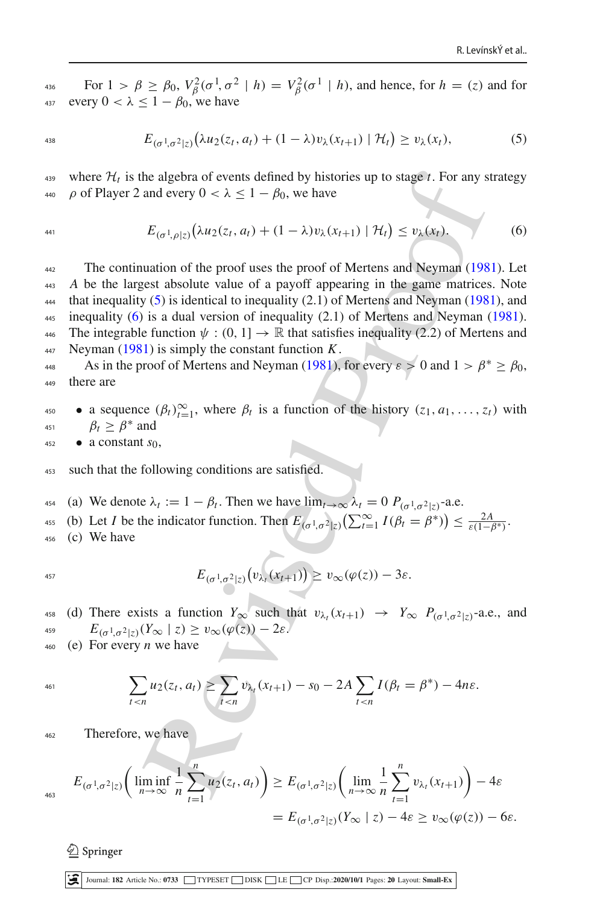For  $1 > \beta \ge \beta_0$ ,  $V_\beta^2(\sigma^1, \sigma^2 | h) = V_\beta^2(\sigma^1 | h)$ , and hence, for  $h = (z)$  and for 437 every  $0 < \lambda < 1 - \beta_0$ , we have

<span id="page-13-0"></span>
$$
E_{(\sigma^1,\sigma^2|z)}(\lambda u_2(z_t,a_t) + (1-\lambda)v_\lambda(x_{t+1}) \mid \mathcal{H}_t) \ge v_\lambda(x_t), \tag{5}
$$

where  $\mathcal{H}_t$  is the algebra of events defined by histories up to stage *t*. For any strategy 440  $\rho$  of Player 2 and every  $0 < \lambda \leq 1 - \beta_0$ , we have

<span id="page-13-1"></span>
$$
E_{(\sigma^1,\rho|z)}(\lambda u_2(z_t,a_t)+(1-\lambda)v_\lambda(x_{t+1})\mid \mathcal{H}_t)\leq v_\lambda(x_t). \tag{6}
$$

he algebra [o](#page-18-14)f events defined by histories up to stage *t*. For any s<br>and every  $0 < \lambda \le 1 - \beta_0$ , we have<br> $E_{(\sigma^1, \rho | z)}(\lambda u_2(z_t, a_t) + (1 - \lambda)v_x(x_{t+1}) | \mathcal{H}_t) \le v_\lambda(x_t)$ .<br>uation of the proof uses the proof of Mertens and Neyman (1 <sup>442</sup> The continuation of the proof uses the proof of Mertens and Neyman [\(1981](#page-18-14)). Let <sup>443</sup> *A* be the largest absolute value of a payoff appearing in the game matrices. Note that inequality  $(5)$  is identical to inequality  $(2.1)$  of Mertens and Neyman (1981), and  $_{445}$  inequality [\(6\)](#page-13-1) is a dual version of inequality (2.1) of Mertens and Neyman [\(1981](#page-18-14)). 446 The integrable function  $\psi : (0, 1] \to \mathbb{R}$  that satisfies inequality (2.2) of Mertens and <sup>447</sup> Neyma[n](#page-18-14) [\(1981](#page-18-14)) is simply the constant function *K*.

As i[n](#page-18-14) the proof of Mertens and Neyman [\(1981](#page-18-14)), for every  $\varepsilon > 0$  and  $1 > \beta^* \ge \beta_0$ , <sup>449</sup> there are

• a sequence  $(\beta_t)_{t=1}^{\infty}$ , where  $\beta_t$  is a function of the history  $(z_1, a_1, \ldots, z_t)$  with <sup>451</sup>  $\beta_t > \beta^*$  and

$$
452 \qquad \bullet \quad a \text{ constant } s_0,
$$

453 such that the following conditions are satisfied.

<sup>454</sup> (a) We denote  $\lambda_t := 1 - \beta_t$ . Then we have  $\lim_{t \to \infty} \lambda_t = 0$   $P_{(\sigma^1, \sigma^2 | z)}$ -a.e. (b) Let *I* be the indicator function. Then  $E_{(\sigma^1, \sigma^2 | z)}(\sum_{t=1}^{\infty} I(\beta_t = \beta^*)) \leq \frac{2A}{\varepsilon(1-\beta^*)}$ . <sup>456</sup> (c) We have

$$
^{457}
$$

$$
E_{(\sigma^1,\sigma^2|z)}(v_{\lambda_I}(x_{t+1})) \geq v_{\infty}(\varphi(z)) - 3\varepsilon.
$$

458 (d) There exists a function  $Y_\infty$  such that  $v_{\lambda}$ ,  $(x_{t+1}) \rightarrow Y_\infty$   $P_{(\sigma^1 \sigma^2 | z)^{-1}}$  a.e., and <sup>459</sup>  $E_{(\sigma^1, \sigma^2|z)}(Y_\infty | z) \geq v_\infty(\varphi(z)) - 2\varepsilon.$ 

<sup>460</sup> (e) For every *n* we have

$$
^{461}
$$

$$
\sum_{t < n} u_2(z_t, a_t) \ge \sum_{t < n} v_{\lambda_t}(x_{t+1}) - s_0 - 2A \sum_{t < n} I(\beta_t = \beta^*) - 4n\varepsilon.
$$

<sup>462</sup> Therefore, we have

$$
E_{(\sigma^1, \sigma^2 | z)} \left( \liminf_{n \to \infty} \frac{1}{n} \sum_{t=1}^n u_2(z_t, a_t) \right) \ge E_{(\sigma^1, \sigma^2 | z)} \left( \lim_{n \to \infty} \frac{1}{n} \sum_{t=1}^n v_{\lambda_t}(x_{t+1}) \right) - 4\varepsilon
$$
  
=  $E_{(\sigma^1, \sigma^2 | z)}(Y_\infty | z) - 4\varepsilon \ge v_\infty(\varphi(z)) - 6\varepsilon$ .

 $\textcircled{2}$  Springer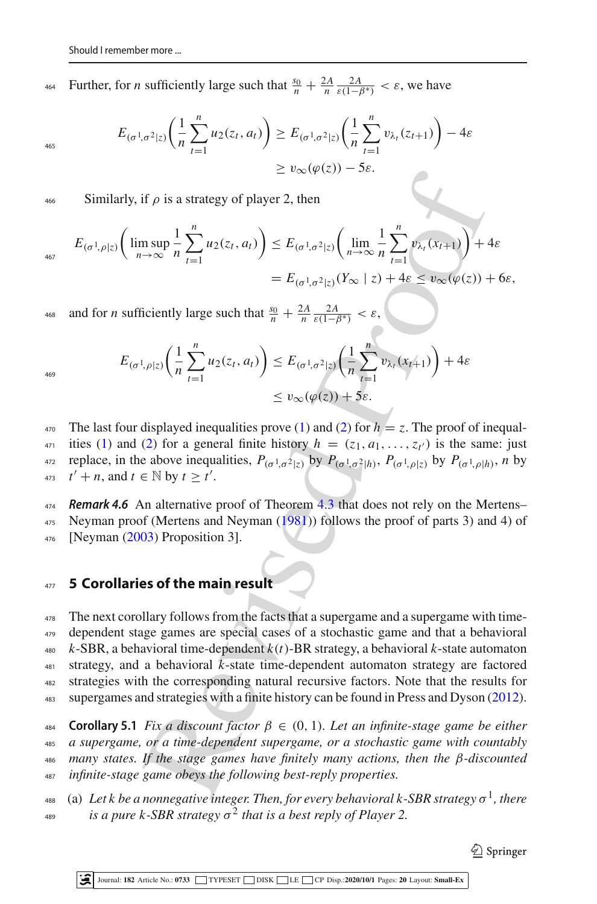<sup>464</sup> Further, for *n* sufficiently large such that  $\frac{s_0}{n} + \frac{2A}{n} \frac{2A}{\varepsilon(1-\beta^*)} < ε$ , we have

$$
E_{(\sigma^1, \sigma^2 | z)} \left( \frac{1}{n} \sum_{t=1}^n u_2(z_t, a_t) \right) \ge E_{(\sigma^1, \sigma^2 | z)} \left( \frac{1}{n} \sum_{t=1}^n v_{\lambda_t}(z_{t+1}) \right) - 4\varepsilon
$$
  
 
$$
\ge v_{\infty}(\varphi(z)) - 5\varepsilon.
$$

466 Similarly, if  $\rho$  is a strategy of player 2, then

$$
E_{(\sigma^1, \rho|z)} \left( \limsup_{n \to \infty} \frac{1}{n} \sum_{t=1}^n u_2(z_t, a_t) \right) \leq E_{(\sigma^1, \sigma^2|z)} \left( \lim_{n \to \infty} \frac{1}{n} \sum_{t=1}^n v_{\lambda_t}(x_{t+1}) \right) + 4\varepsilon
$$
  
=  $E_{(\sigma^1, \sigma^2|z)}(Y_{\infty} \mid z) + 4\varepsilon \leq v_{\infty}(\varphi(z)) + 6\varepsilon$ ,

as and for *n* sufficiently large such that  $\frac{s_0}{n} + \frac{2A}{n} \frac{2A}{\varepsilon(1-\beta^*)} < \varepsilon$ ,

$$
E_{(\sigma^1, \rho \mid z)} \left( \frac{1}{n} \sum_{t=1}^n u_2(z_t, a_t) \right) \le E_{(\sigma^1, \sigma^2 \mid z)} \left( \frac{1}{n} \sum_{t=1}^n v_{\lambda_t}(x_{t+1}) \right) + 4\varepsilon
$$
  
\$\le v\_\infty(\varphi(z)) + 5\varepsilon\$.

469

465

<sup>470</sup> The last four displayed inequalities prove [\(1\)](#page-8-4) and (2) for  $h = z$ . The proof of inequal-<sup>471</sup> ities [\(1\)](#page-8-4) and (2) for a general finite history  $h = (z_1, a_1, \ldots, z_{t'})$  is the same: just <sup>472</sup> replace, in the above inequalities,  $P_{(\sigma^1, \sigma^2|z)}$  by  $P_{(\sigma^1, \sigma^2|h)}$ ,  $P_{(\sigma^1, \rho|z)}$  by  $P_{(\sigma^1, \rho|h)}$ , *n* by <sup>473</sup>  $t' + n$ , and  $t \in \mathbb{N}$  by  $t \geq t'$ .

<sup>474</sup> *Remark 4.6* An alternative proof of Theorem 4.3 that does not rely on the Mertens– <sup>475</sup> Neyman proof (Mertens and Neyman (1981)) follows the proof of parts 3) and 4) of <sup>476</sup> [Neyma[n](#page-18-15) [\(2003](#page-18-15)) Proposition 3].

# <span id="page-14-0"></span><sup>477</sup> **5 Corollaries of the main result**

if  $\rho$  is a strat[e](#page-18-14)gy of player 2, then<br>  $\sum_{x\in\mathcal{X}}\exp(c)$   $\int_{\partial\mathcal{X}}\exp(c)$   $\int_{\partial\mathcal{X}}\exp(c)$ <br>  $\int_{\partial\mathcal{X}}\exp\left(\frac{1}{2}x\right)dx$  $\int_{\partial\mathcal{X}}\exp\left(\frac{1}{2}x\right)dx$  $\int_{\partial\mathcal{X}}\exp\left(\frac{1}{2}x\right)dx$ <br>  $\int_{\partial\mathcal{X}}\exp\left(\frac{1}{2}x\right)dx$ <br>  $= E_{(\sigma^1,\sigma^2|z)}(Y_{\infty} | z) + 4\epsilon \leq v_{\infty}(\varphi(z))$ -<br>
icicntly large The next corollary follows from the facts that a supergame and a supergame with time- dependent stage games are special cases of a stochastic game and that a behavioral *k*-SBR, a behavioral time-dependent *k*(*t*)-BR strategy, a behavioral *k*-state automaton strategy, and a behavioral  $k$ -state time-dependent automaton strategy are factored strategies with the corresponding natural recursive factors. Note that the results for supergames and strategies with a finite history can be found in Press and Dyso[n](#page-18-16) [\(2012](#page-18-16)).

 **Corollary 5.1** *Fix a discount factor*  $\beta \in (0, 1)$ *. Let an infinite-stage game be either a supergame, or a time-dependent supergame, or a stochastic game with countably many states. If the stage games have finitely many actions, then the* β*-discounted infinite-stage game obeys the following best-reply properties.*

<sup>488</sup> (a) Let k be a nonnegative integer. Then, for every behavioral k-SBR strategy  $\sigma^1$ , there <sup>489</sup> *is a pure k-SBR strategy*  $\sigma^2$  *that is a best reply of Player 2.*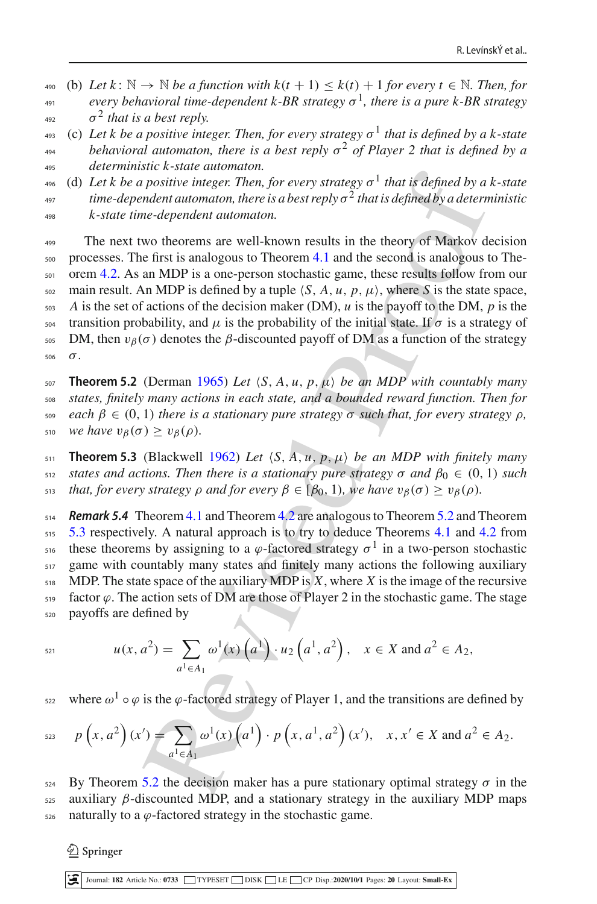- 490 (b) Let  $k : \mathbb{N} \to \mathbb{N}$  be a function with  $k(t + 1) \leq k(t) + 1$  for every  $t \in \mathbb{N}$ . Then, for *every behavioral time-dependent k-BR strategy*  $\sigma^1$ , there is a pure k-BR strategy  $\sigma^2$  *that is a best reply.*
- <sup>493</sup> (c) Let k be a positive integer. Then, for every strategy  $\sigma$ <sup>1</sup> that is defined by a k-state *behavioral automaton, there is a best reply*  $\sigma^2$  *of Player 2 that is defined by a* <sup>495</sup> *deterministic k-state automaton.*
- <sup>496</sup> (d) Let k be a positive integer. Then, for every strategy  $\sigma$ <sup>1</sup> that is defined by a k-state <sup>497</sup> time-dependent automaton, there is a best reply  $\sigma^2$  that is defined by a deterministic <sup>498</sup> *k-state time-dependent automaton.*

Eventuation there is a stationary of that is defin[ed](#page-8-0) by a<br>notivive integer. Then, for every strategy  $\sigma^1$  that is defined by a<br>neder automaton, there is a best reply  $\sigma^2$  that is defined by a determ<br>neder automaton.<br>N <sup>499</sup> The next two theorems are well-known results in the theory of Markov decision <sup>500</sup> processes. The first is analogous to Theorem 4.1 and the second is analogous to The-<sub>501</sub> orem [4.2.](#page-8-0) As an MDP is a one-person stochastic game, these results follow from our 502 main result. An MDP is defined by a tuple  $\langle S, A, u, p, \mu \rangle$ , where *S* is the state space,  $\overline{\phantom{a}}$ <sub>503</sub> *A* is the set of actions of the decision maker (DM), *u* is the payoff to the DM, *p* is the  $504$  transition probability, and μ is the probability of the initial state. If σ is a strategy of 505 DM, then  $v<sub>β</sub>(σ)$  denotes the β-discounted payoff of DM as a function of the strategy <sup>506</sup> σ.

<span id="page-15-1"></span>**Theorem 5.2** (Derma[n](#page-18-11) [1965\)](#page-18-11) Let  $\langle S, A, u, p, \mu \rangle$  be an MDP with countably many *states, finitely many actions in each state, and a bounded reward function. Then for each* β ∈ (0, 1) *there is a stationary pure strategy* σ *such that, for every strategy* ρ*, we have*  $v_\beta(\sigma) \ge v_\beta(\rho)$ .

<span id="page-15-2"></span>511 **Theorem 5.3** (Blackwell 1962) Let  $\langle S, A, u, p, \mu \rangle$  be an MDP with finitely many 512 *states and actions. Then there is a stationary pure strategy*  $\sigma$  *and*  $\beta_0 \in (0, 1)$  *such s*<sup>13</sup> *that, for every strategy ρ and for every*  $β ∈ [β<sub>0</sub>, 1)$ *, we have*  $v<sub>β</sub>(σ) ≥ v<sub>β</sub>(ρ)$ *.* 

<span id="page-15-0"></span> *Remark 5.4* Theorem 4.1 and Theorem 4.2 are analogous to Theorem [5.2](#page-15-1) and Theorem [5.3](#page-15-2) respectively. A natural approach is to try to deduce Theorems [4.1](#page-7-1) and [4.2](#page-8-0) from these theorems by assigning to a  $\varphi$ -factored strategy  $\sigma^1$  in a two-person stochastic game with countably many states and finitely many actions the following auxiliary MDP. The state space of the auxiliary MDP is *X*, where *X* is the image of the recursive 519 factor  $\varphi$ . The action sets of DM are those of Player 2 in the stochastic game. The stage payoffs are defined by

$$
u(x, a^2) = \sum_{a^1 \in A_1} \omega^1(x) \left( a^1 \right) \cdot u_2 \left( a^1, a^2 \right), \quad x \in X \text{ and } a^2 \in A_2,
$$

where  $\omega^1 \circ \varphi$  is the  $\varphi$ -factored strategy of Player 1, and the transitions are defined by

$$
p(x, a^{2})(x') = \sum_{a^{1} \in A_{1}} \omega^{1}(x) \left(a^{1}\right) \cdot p(x, a^{1}, a^{2})(x'), \quad x, x' \in X \text{ and } a^{2} \in A_{2}.
$$

524 By Theorem 5.2 the decision maker has a pure stationary optimal strategy  $\sigma$  in the  $525$  auxiliary β-discounted MDP, and a stationary strategy in the auxiliary MDP maps 526 naturally to a  $\varphi$ -factored strategy in the stochastic game.

 $\mathcal{L}$  Springer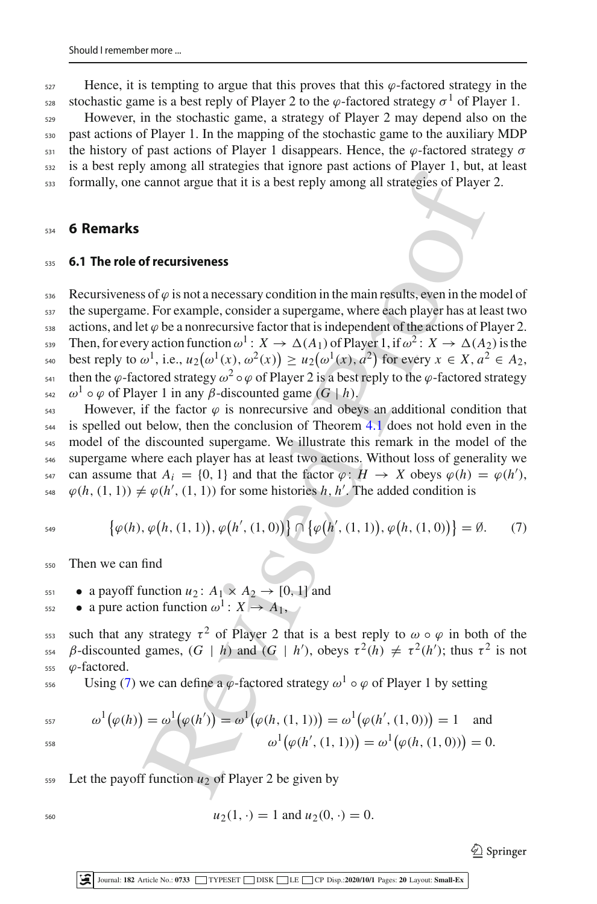$527$  Hence, it is tempting to argue that this proves that this  $\varphi$ -factored strategy in the ssa stochastic game is a best reply of Player 2 to the  $\varphi$ -factored strategy  $\sigma^1$  of Player 1.

 However, in the stochastic game, a strategy of Player 2 may depend also on the past actions of Player 1. In the mapping of the stochastic game to the auxiliary MDP the history of past actions of Player 1 disappears. Hence, the φ-factored strategy σ is a best reply among all strategies that ignore past actions of Player 1, but, at least formally, one cannot argue that it is a best reply among all strategies of Player 2.

### <span id="page-16-0"></span><sup>534</sup> **6 Remarks**

#### <sup>535</sup> **6.1 The role of recursiveness**

Solution the season of the season of the season of the season of the season of the cannot argue that it is a best reply among all strategies of [P](#page-7-1)layer<br>
of **recursiveness**<br>
solve is not a necessary condition in the main re 536 Recursiveness of  $\varphi$  is not a necessary condition in the main results, even in the model of <sub>537</sub> the supergame. For example, consider a supergame, where each player has at least two 538 actions, and let  $\varphi$  be a nonrecursive factor that is independent of the actions of Player 2. Then, for every action function  $\omega^1$ :  $X \to \Delta(A_1)$  of Player 1, if  $\omega^2$ :  $X \to \Delta(A_2)$  is the best reply to  $\omega^1$ , i.e.,  $u_2(\omega^1(x), \omega^2(x)) \ge u_2(\omega^1(x), a^2)$  for every  $x \in X, a^2 \in A_2$ , then the  $\varphi$ -factored strategy  $\omega^2 \circ \varphi$  of Player 2 is a best reply to the  $\varphi$ -factored strategy  $\omega^1$   $\circ$   $\varphi$  of Player 1 in any *β*-discounted game (*G* | *h*).

 $_{543}$  However, if the factor  $\varphi$  is nonrecursive and obeys an additional condition that  $544$  is spelled out below, then the conclusion of Theorem 4.1 does not hold even in the <sup>545</sup> model of the discounted supergame. We illustrate this remark in the model of the <sup>546</sup> supergame where each player has at least two actions. Without loss of generality we s47 can assume that  $A_i = \{0, 1\}$  and that the factor  $\varphi : H \to X$  obeys  $\varphi(h) = \varphi(h'),$  $\varphi(h, (1, 1)) \neq \varphi(h', (1, 1))$  for some histories *h*, *h'*. The added condition is

<span id="page-16-1"></span> $\{\varphi(h), \varphi(h, (1, 1)), \varphi(h', (1, 0))\} \cap \{\varphi(h', (1, 1)), \varphi(h, (1, 0))\} = \emptyset.$  (7)

<sup>550</sup> Then we can find

551 • a payoff function  $u_2$ :  $A_1 \times A_2 \rightarrow [0, 1]$  and

 $\bullet$  a pure action function  $\omega^1: X \to A_1$ ,

sss such that any strategy  $\tau^2$  of Player 2 that is a best reply to  $\omega \circ \varphi$  in both of the <sup>554</sup>  $\beta$ -discounted games, (*G* | *h*) and (*G* | *h'*), obeys  $\tau^2(h) \neq \tau^2(h')$ ; thus  $\tau^2$  is not 555  $\varphi$ -factored.

Using [\(7\)](#page-16-1) we can define a  $\varphi$ -factored strategy  $\omega^1 \circ \varphi$  of Player 1 by setting

$$
\omega^1(\varphi(h)) = \omega^1(\varphi(h')) = \omega^1(\varphi(h, (1, 1))) = \omega^1(\varphi(h', (1, 0))) = 1 \text{ and}
$$

$$
\omega^1(\varphi(h', (1, 1))) = \omega^1(\varphi(h, (1, 0))) = 0.
$$

559 Let the payoff function  $u_2$  of Player 2 be given by

$$
u_2(1, \cdot) = 1 \text{ and } u_2(0, \cdot) = 0.
$$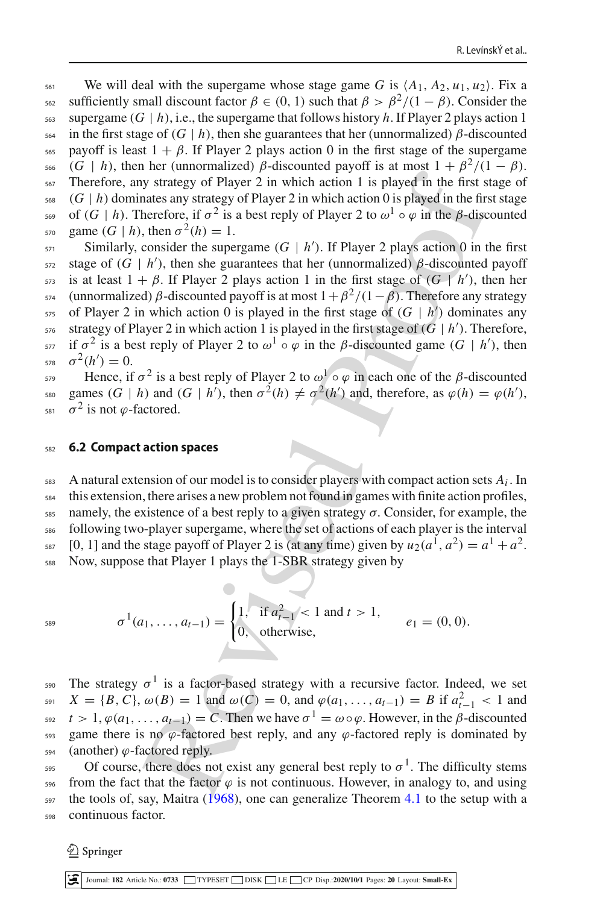561 We will deal with the supergame whose stage game G is  $\langle A_1, A_2, u_1, u_2 \rangle$ . Fix a s<sub>62</sub> sufficiently small discount factor  $β ∈ (0, 1)$  such that  $β > β<sup>2</sup>/(1 − β)$ . Consider the  $563$  supergame (*G* | *h*), i.e., the supergame that follows history *h*. If Player 2 plays action 1  $564$  in the first stage of (*G* | *h*), then she guarantees that her (unnormalized) β-discounted 565 payoff is least  $1 + \beta$ . If Player 2 plays action 0 in the first stage of the supergame <sup>566</sup> (*G* | *h*), then her (unnormalized) β-discounted payoff is at most  $1 + \frac{\beta^2}{1 - \beta}$ . <sup>567</sup> Therefore, any strategy of Player 2 in which action 1 is played in the first stage of  $568$  (*G* | *h*) dominates any strategy of Player 2 in which action 0 is played in the first stage <sup>569</sup> of (*G* | *h*). Therefore, if  $\sigma^2$  is a best reply of Player 2 to  $\omega^1 \circ \varphi$  in the β-discounted  $g_{570}$  game  $(G | h)$ , then  $\sigma^2(h) = 1$ .

are variables and strategy of Player 2 in which action 1 is played in the first sintes any strategy of Player 2 in which action 1 is played in the first sinter<br>herefore, if  $\sigma^2$  is a best reply of Player 2 of  $\sigma$  or  $\$  $\sin$  Similarly, consider the supergame  $(G | h')$ . If Player 2 plays action 0 in the first srage of  $(G | h')$ , then she guarantees that her (unnormalized)  $\beta$ -discounted payoff is at least  $1 + \beta$ . If Player 2 plays action 1 in the first stage of  $(G \mid h')$ , then her <sup>574</sup> (unnormalized) β-discounted payoff is at most  $1+\beta^2/(1-\beta)$ . Therefore any strategy  $575$  of Player 2 in which action 0 is played in the first stage of  $(G | h')$  dominates any s<sub>76</sub> strategy of Player 2 in which action 1 is played in the first stage of  $(G | h')$ . Therefore, if  $\sigma^2$  is a best reply of Player 2 to  $\omega^1 \circ \varphi$  in the *β*-discounted game (*G* | *h'*), then  $\sigma^2(h') = 0.$ 

Hence, if  $\sigma^2$  is a best reply of Player 2 to  $\omega^1 \circ \varphi$  in each one of the β-discounted games  $(G | h)$  and  $(G | h')$ , then  $\sigma^2(h) \neq \sigma^2(h')$  and, therefore, as  $\varphi(h) = \varphi(h')$ , 581  $\sigma^2$  is not  $\varphi$ -factored.

#### <sup>582</sup> **6.2 Compact action spaces**

A natural extension of our model is to consider players with compact action sets  $A_i$ . In this extension, there arises a new problem not found in games with finite action profiles, namely, the existence of a best reply to a given strategy  $\sigma$ . Consider, for example, the following two-player supergame, where the set of actions of each player is the interval <sup>587</sup> [0, 1] and the stage payoff of Player 2 is (at any time) given by  $u_2(a^1, a^2) = a^1 + a^2$ . Now, suppose that Player 1 plays the 1-SBR strategy given by

$$
\sigma^1(a_1,\ldots,a_{t-1}) = \begin{cases} 1, & \text{if } a_{t-1}^2 < 1 \text{ and } t > 1, \\ 0, & \text{otherwise,} \end{cases} \quad e_1 = (0,0).
$$

<sub>590</sub> The strategy  $σ<sup>1</sup>$  is a factor-based strategy with a recursive factor. Indeed, we set  $X = \{B, C\}, \omega(B) = 1$  and  $\omega(C) = 0$ , and  $\varphi(a_1, \ldots, a_{t-1}) = B$  if  $a_{t-1}^2 < 1$  and <sup>592</sup>  $t > 1$ ,  $\varphi(a_1, \ldots, a_{t-1}) = C$ . Then we have  $\sigma^1 = \omega \circ \varphi$ . However, in the *β*-discounted 593 game there is no  $\varphi$ -factored best reply, and any  $\varphi$ -factored reply is dominated by  $594$  (another)  $\varphi$ -factored reply.

of course, there does not exist any general best reply to  $\sigma^1$ . The difficulty stems 596 from the fact that the factor  $\varphi$  is not continuous. However, in analogy to, and using  $597$  the tools of, s[a](#page-18-17)y, Maitra [\(1968\)](#page-18-17), one can generalize Theorem [4.1](#page-7-1) to the setup with a <sup>598</sup> continuous factor.

 $\mathcal{L}$  Springer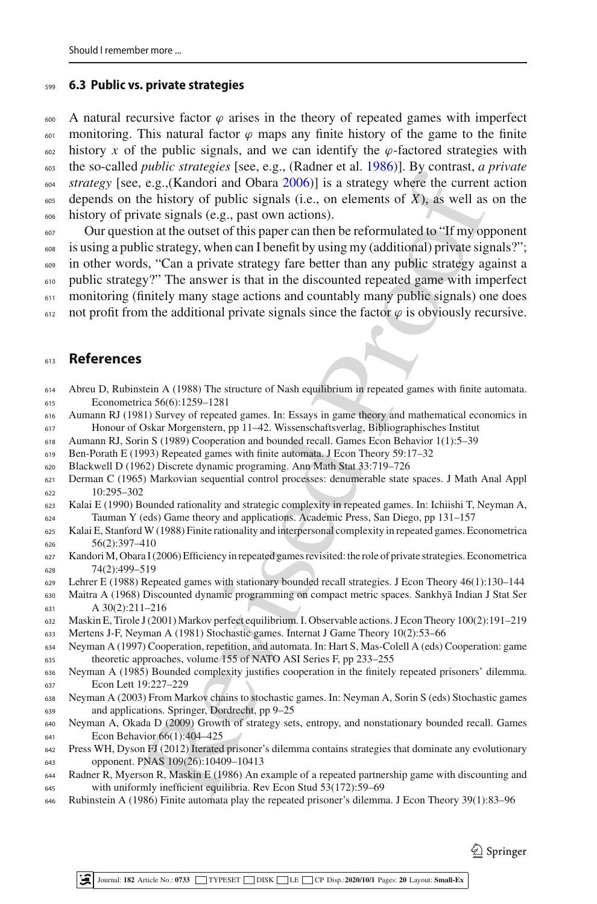### **6.3 Public vs. private strategies**

600 A natural recursive factor  $\varphi$  arises in the theory of repeated games with imperfect 601 monitoring. This natural factor  $\varphi$  maps any finite history of the game to the finite 602 history *x* of the public signals, and we can identify the  $\varphi$ -factored strategies with the so-called *public strategies* [see, e.g., (Radner et al[.](#page-18-18) [1986\)](#page-18-18)]. By contrast, *a private strategy* [see, e.g.,(Kandori and Obar[a](#page-18-19) [2006](#page-18-19))] is a strategy where the current action  $\epsilon_{605}$  depends on the history of public signals (i.e., on elements of *X*), as well as on the history of private signals (e.g., past own actions).

**Example 10**<br>
e.g.,(Kandori and Obara 2006) is a strategy where the current<br>
e.g.,(Kandori and Obara 2006)) is a strategy where the current<br>
e.g.,(Kandori and Obara 2006)) is a strategy where the current<br>
incirculates ign Our question at the outset of this paper can then be reformulated to "If my opponent is using a public strategy, when can I benefit by using my (additional) private signals?"; in other words, "Can a private strategy fare better than any public strategy against a public strategy?" The answer is that in the discounted repeated game with imperfect monitoring (finitely many stage actions and countably many public signals) one does 612 not profit from the additional private signals since the factor  $\varphi$  is obviously recursive.

### **References**

- <span id="page-18-5"></span> Abreu D, Rubinstein A (1988) The structure of Nash equilibrium in repeated games with finite automata. Econometrica 56(6):1259–1281
- <span id="page-18-0"></span> Aumann RJ (1981) Survey of repeated games. In: Essays in game theory and mathematical economics in Honour of Oskar Morgenstern, pp 11–42. Wissenschaftsverlag, Bibliographisches Institut
- <span id="page-18-2"></span>Aumann RJ, Sorin S (1989) Cooperation and bounded recall. Games Econ Behavior 1(1):5–39
- <span id="page-18-6"></span>Ben-Porath E (1993) Repeated games with finite automata. J Econ Theory 59:17–32
- <span id="page-18-10"></span>Blackwell D (1962) Discrete dynamic programing. Ann Math Stat 33:719–726
- <span id="page-18-11"></span> Derman C (1965) Markovian sequential control processes: denumerable state spaces. J Math Anal Appl 10:295–302
- <span id="page-18-7"></span> Kalai E (1990) Bounded rationality and strategic complexity in repeated games. In: Ichiishi T, Neyman A, Tauman Y (eds) Game theory and applications. Academic Press, San Diego, pp 131–157
- <span id="page-18-8"></span> Kalai E, Stanford W (1988) Finite rationality and interpersonal complexity in repeated games. Econometrica 56(2):397–410
- <span id="page-18-19"></span> KandoriM, Obara I (2006) Efficiency in repeated games revisited: the role of private strategies. Econometrica 74(2):499–519
- <span id="page-18-1"></span>Lehrer E (1988) Repeated games with stationary bounded recall strategies. J Econ Theory 46(1):130–144
- <span id="page-18-17"></span>630 Maitra A (1968) Discounted dynamic programming on compact metric spaces. Sankhyā Indian J Stat Ser A 30(2):211–216
- <span id="page-18-9"></span>Maskin E, Tirole J (2001) Markov perfect equilibrium. I. Observable actions. J Econ Theory 100(2):191–219
- <span id="page-18-14"></span>Mertens J-F, Neyman A (1981) Stochastic games. Internat J Game Theory 10(2):53–66
- <span id="page-18-12"></span> Neyman A (1997) Cooperation, repetition, and automata. In: Hart S, Mas-Colell A (eds) Cooperation: game theoretic approaches, volume 155 of NATO ASI Series F, pp 233–255
- <span id="page-18-3"></span> Neyman A (1985) Bounded complexity justifies cooperation in the finitely repeated prisoners' dilemma. Econ Lett 19:227–229
- <span id="page-18-15"></span> Neyman A (2003) From Markov chains to stochastic games. In: Neyman A, Sorin S (eds) Stochastic games and applications. Springer, Dordrecht, pp 9–25
- <span id="page-18-13"></span> Neyman A, Okada D (2009) Growth of strategy sets, entropy, and nonstationary bounded recall. Games Econ Behavior 66(1):404–425
- <span id="page-18-16"></span> Press WH, Dyson FJ (2012) Iterated prisoner's dilemma contains strategies that dominate any evolutionary opponent. PNAS 109(26):10409–10413
- <span id="page-18-18"></span> Radner R, Myerson R, Maskin E (1986) An example of a repeated partnership game with discounting and with uniformly inefficient equilibria. Rev Econ Stud 53(172):59–69
- <span id="page-18-4"></span>Rubinstein A (1986) Finite automata play the repeated prisoner's dilemma. J Econ Theory 39(1):83–96